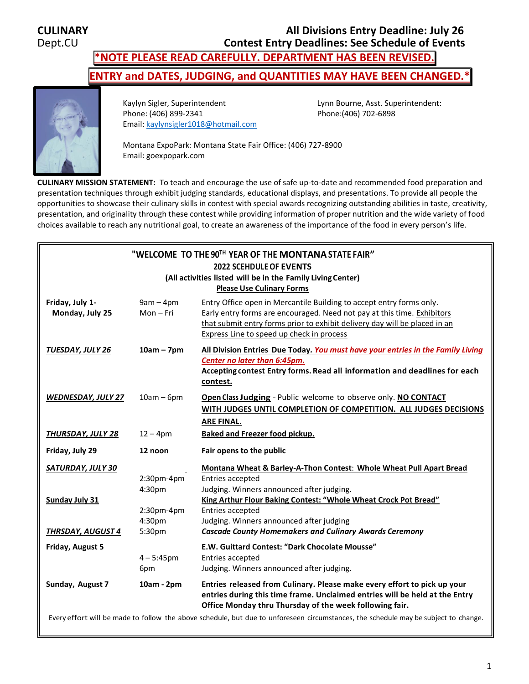# **CULINARY All Divisions Entry Deadline: July 26 Contest Entry Deadlines: See Schedule of Events**

\***NOTE PLEASE READ CAREFULLY. DEPARTMENT HAS BEEN REVISED.**

**ENTRY and DATES, JUDGING, and QUANTITIES MAY HAVE BEEN CHANGED.\***



Kaylyn Sigler, Superintendent Lynn Bourne, Asst. Superintendent: Phone: (406) 899-2341 Phone:(406) 702-6898 Email[: kaylynsigler1018@hotmail.com](mailto:kaylynsigler1018@hotmail.com)

Montana ExpoPark: Montana State Fair Office: (406) 727-8900 Email: goexpopark.com

**CULINARY MISSION STATEMENT:** To teach and encourage the use of safe up-to-date and recommended food preparation and presentation techniques through exhibit judging standards, educational displays, and presentations. To provide all people the opportunities to showcase their culinary skills in contest with special awards recognizing outstanding abilities in taste, creativity, presentation, and originality through these contest while providing information of proper nutrition and the wide variety of food choices available to reach any nutritional goal, to create an awareness of the importance of the food in every person's life.

| "WELCOME TO THE 90TH YEAR OF THE MONTANA STATE FAIR"<br><b>2022 SCEHDULE OF EVENTS</b><br>(All activities listed will be in the Family Living Center)<br><b>Please Use Culinary Forms</b> |                                                           |                                                                                                                                                                                                                                                                                                                                                                        |  |  |
|-------------------------------------------------------------------------------------------------------------------------------------------------------------------------------------------|-----------------------------------------------------------|------------------------------------------------------------------------------------------------------------------------------------------------------------------------------------------------------------------------------------------------------------------------------------------------------------------------------------------------------------------------|--|--|
| Friday, July 1-<br>Monday, July 25                                                                                                                                                        | $9am - 4pm$<br>Mon-Fri                                    | Entry Office open in Mercantile Building to accept entry forms only.<br>Early entry forms are encouraged. Need not pay at this time. Exhibitors<br>that submit entry forms prior to exhibit delivery day will be placed in an<br>Express Line to speed up check in process                                                                                             |  |  |
| <b>TUESDAY, JULY 26</b>                                                                                                                                                                   | $10am - 7pm$                                              | All Division Entries Due Today. You must have your entries in the Family Living<br>Center no later than 6:45pm.<br>Accepting contest Entry forms. Read all information and deadlines for each<br>contest.<br>Open Class Judging - Public welcome to observe only. NO CONTACT<br>WITH JUDGES UNTIL COMPLETION OF COMPETITION. ALL JUDGES DECISIONS<br><b>ARE FINAL.</b> |  |  |
| <b>WEDNESDAY, JULY 27</b>                                                                                                                                                                 | $10am - 6pm$                                              |                                                                                                                                                                                                                                                                                                                                                                        |  |  |
| <u>THURSDAY, JULY 28</u>                                                                                                                                                                  | $12 - 4pm$                                                | Baked and Freezer food pickup.                                                                                                                                                                                                                                                                                                                                         |  |  |
| Friday, July 29                                                                                                                                                                           | 12 noon                                                   | Fair opens to the public                                                                                                                                                                                                                                                                                                                                               |  |  |
| SATURDAY, JULY 30<br><b>Sunday July 31</b><br><b>THRSDAY, AUGUST 4</b>                                                                                                                    | $2:30$ pm-4pm<br>4:30pm<br>2:30pm-4pm<br>4:30pm<br>5:30pm | Montana Wheat & Barley-A-Thon Contest: Whole Wheat Pull Apart Bread<br>Entries accepted<br>Judging. Winners announced after judging.<br>King Arthur Flour Baking Contest: "Whole Wheat Crock Pot Bread"<br>Entries accepted<br>Judging. Winners announced after judging<br><b>Cascade County Homemakers and Culinary Awards Ceremony</b>                               |  |  |
| Friday, August 5                                                                                                                                                                          | $4 - 5:45$ pm<br>6pm                                      | E.W. Guittard Contest: "Dark Chocolate Mousse"<br>Entries accepted<br>Judging. Winners announced after judging.                                                                                                                                                                                                                                                        |  |  |
| Sunday, August 7                                                                                                                                                                          | 10am - 2pm                                                | Entries released from Culinary. Please make every effort to pick up your<br>entries during this time frame. Unclaimed entries will be held at the Entry<br>Office Monday thru Thursday of the week following fair.                                                                                                                                                     |  |  |
| Every effort will be made to follow the above schedule, but due to unforeseen circumstances, the schedule may be subject to change.                                                       |                                                           |                                                                                                                                                                                                                                                                                                                                                                        |  |  |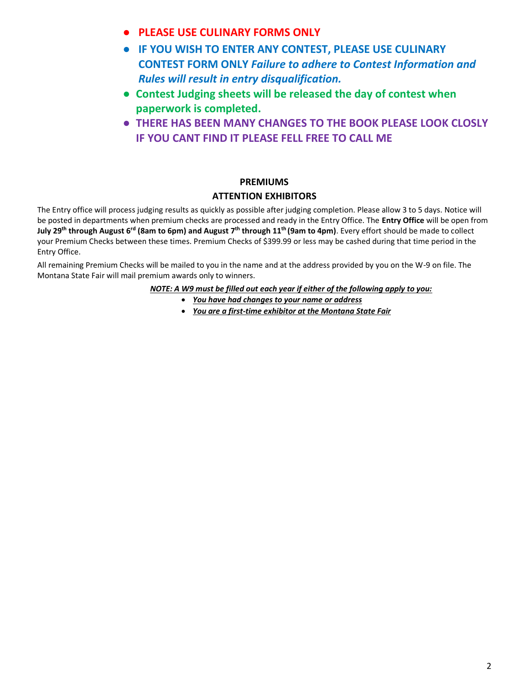- **PLEASE USE CULINARY FORMS ONLY**
- **IF YOU WISH TO ENTER ANY CONTEST, PLEASE USE CULINARY CONTEST FORM ONLY** *Failure to adhere to Contest Information and Rules will result in entry disqualification.*
- **Contest Judging sheets will be released the day of contest when paperwork is completed.**
- **THERE HAS BEEN MANY CHANGES TO THE BOOK PLEASE LOOK CLOSLY IF YOU CANT FIND IT PLEASE FELL FREE TO CALL ME**

# **PREMIUMS**

# **ATTENTION EXHIBITORS**

The Entry office will process judging results as quickly as possible after judging completion. Please allow 3 to 5 days. Notice will be posted in departments when premium checks are processed and ready in the Entry Office. The **Entry Office** will be open from **July 29 th through August 6 rd (8am to 6pm) and August 7 th through 11th (9am to 4pm)**. Every effort should be made to collect your Premium Checks between these times. Premium Checks of \$399.99 or less may be cashed during that time period in the Entry Office.

All remaining Premium Checks will be mailed to you in the name and at the address provided by you on the W-9 on file. The Montana State Fair will mail premium awards only to winners.

*NOTE: A W9 must be filled out each year if either of the following apply to you:*

- *You have had changes to your name or address*
- *You are a first-time exhibitor at the Montana State Fair*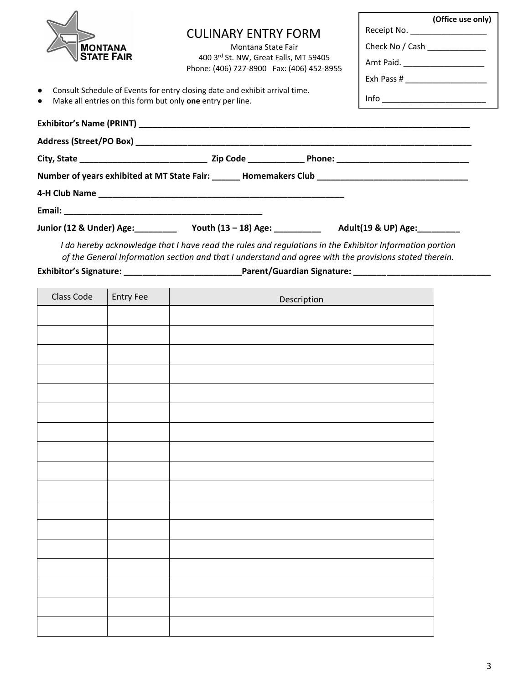|                                                                         |                                                                                                                                                                                                                   |  | (Office use only)               |
|-------------------------------------------------------------------------|-------------------------------------------------------------------------------------------------------------------------------------------------------------------------------------------------------------------|--|---------------------------------|
|                                                                         | <b>CULINARY ENTRY FORM</b>                                                                                                                                                                                        |  | Receipt No. ___________________ |
| <b>MONTANA</b>                                                          | Montana State Fair                                                                                                                                                                                                |  | Check No / Cash                 |
| <b>STATE FAIR</b>                                                       | 400 3rd St. NW, Great Falls, MT 59405<br>Phone: (406) 727-8900 Fax: (406) 452-8955                                                                                                                                |  |                                 |
|                                                                         |                                                                                                                                                                                                                   |  |                                 |
| Make all entries on this form but only one entry per line.<br>$\bullet$ | • Consult Schedule of Events for entry closing date and exhibit arrival time.                                                                                                                                     |  |                                 |
|                                                                         |                                                                                                                                                                                                                   |  |                                 |
|                                                                         |                                                                                                                                                                                                                   |  |                                 |
|                                                                         |                                                                                                                                                                                                                   |  |                                 |
|                                                                         | Number of years exhibited at MT State Fair: _______ Homemakers Club ________________________________                                                                                                              |  |                                 |
|                                                                         |                                                                                                                                                                                                                   |  |                                 |
|                                                                         |                                                                                                                                                                                                                   |  |                                 |
|                                                                         | Junior (12 & Under) Age: 1903 Mouth (13 - 18) Age: 1903 March 2014 Mouth (19 & UP) Age: 1904                                                                                                                      |  |                                 |
|                                                                         | I do hereby acknowledge that I have read the rules and regulations in the Exhibitor Information portion<br>of the General Information section and that I understand and agree with the provisions stated therein. |  |                                 |

**Exhibitor's Signature: \_\_\_\_\_\_\_\_\_\_\_\_\_\_\_\_\_\_\_\_\_\_\_\_\_Parent/Guardian Signature: \_\_\_\_\_\_\_\_\_\_\_\_\_\_\_\_\_\_\_\_\_\_\_\_\_\_\_\_\_**

| Class Code | Entry Fee | Description |
|------------|-----------|-------------|
|            |           |             |
|            |           |             |
|            |           |             |
|            |           |             |
|            |           |             |
|            |           |             |
|            |           |             |
|            |           |             |
|            |           |             |
|            |           |             |
|            |           |             |
|            |           |             |
|            |           |             |
|            |           |             |
|            |           |             |
|            |           |             |
|            |           |             |
|            |           |             |
|            |           |             |
|            |           |             |
|            |           |             |
|            |           |             |
|            |           |             |
|            |           |             |
|            |           |             |
|            |           |             |
|            |           |             |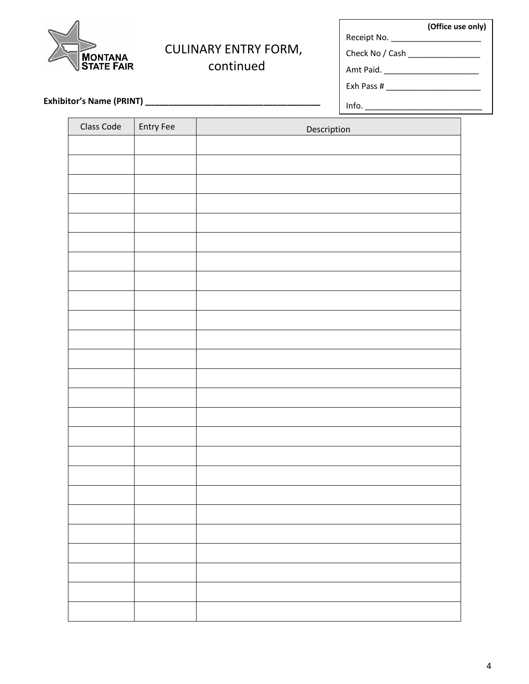| <b>MONTANA<br/>STATE FAIR</b> |
|-------------------------------|

# CULINARY ENTRY FORM,

continued

**(Office use only)** Receipt No. \_\_\_\_\_\_\_\_\_\_\_\_\_\_\_\_\_\_\_\_

Info. \_\_\_\_\_\_\_\_\_\_\_\_\_\_\_\_\_\_\_\_\_\_\_\_\_\_

Check No / Cash \_\_\_\_\_\_\_\_\_\_\_\_\_\_\_\_\_\_

Amt Paid. \_\_\_\_\_\_\_\_\_\_\_\_\_\_\_\_\_\_\_\_\_

Exh Pass # \_\_\_\_\_\_\_\_\_\_\_\_\_\_\_\_\_\_\_\_\_

 **Exhibitor's Name (PRINT) \_\_\_\_\_\_\_\_\_\_\_\_\_\_\_\_\_\_\_\_\_\_\_\_\_\_\_\_\_\_\_\_\_\_\_\_\_**

| Class Code | Entry Fee | Description |  |
|------------|-----------|-------------|--|
|            |           |             |  |
|            |           |             |  |
|            |           |             |  |
|            |           |             |  |
|            |           |             |  |
|            |           |             |  |
|            |           |             |  |
|            |           |             |  |
|            |           |             |  |
|            |           |             |  |
|            |           |             |  |
|            |           |             |  |
|            |           |             |  |
|            |           |             |  |
|            |           |             |  |
|            |           |             |  |
|            |           |             |  |
|            |           |             |  |
|            |           |             |  |
|            |           |             |  |
|            |           |             |  |
|            |           |             |  |
|            |           |             |  |
|            |           |             |  |
|            |           |             |  |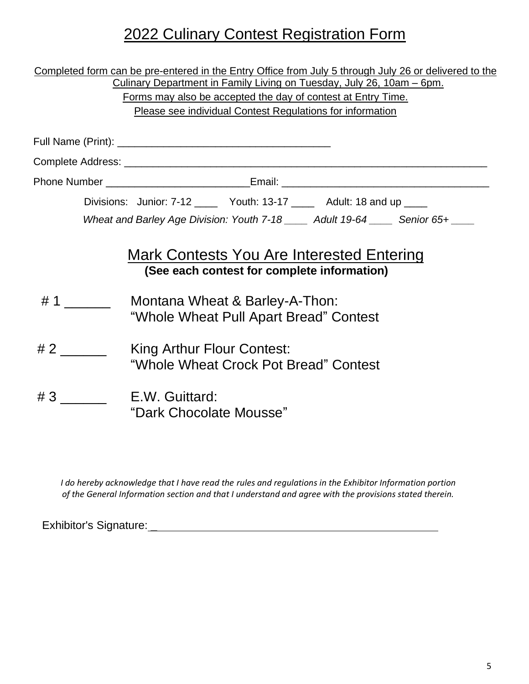# 2022 Culinary Contest Registration Form

| Completed form can be pre-entered in the Entry Office from July 5 through July 26 or delivered to the<br>Culinary Department in Family Living on Tuesday, July 26, 10am - 6pm.<br>Forms may also be accepted the day of contest at Entry Time.<br><b>Please see individual Contest Regulations for information</b> |                                                                                                                            |  |  |
|--------------------------------------------------------------------------------------------------------------------------------------------------------------------------------------------------------------------------------------------------------------------------------------------------------------------|----------------------------------------------------------------------------------------------------------------------------|--|--|
|                                                                                                                                                                                                                                                                                                                    |                                                                                                                            |  |  |
|                                                                                                                                                                                                                                                                                                                    |                                                                                                                            |  |  |
|                                                                                                                                                                                                                                                                                                                    |                                                                                                                            |  |  |
|                                                                                                                                                                                                                                                                                                                    | Divisions: Junior: 7-12 _______ Youth: 13-17 ________ Adult: 18 and up _____                                               |  |  |
|                                                                                                                                                                                                                                                                                                                    | Wheat and Barley Age Division: Youth 7-18 _____ Adult 19-64 _____ Senior 65+ ____                                          |  |  |
|                                                                                                                                                                                                                                                                                                                    | Mark Contests You Are Interested Entering<br>(See each contest for complete information)<br>Montana Wheat & Barley-A-Thon: |  |  |
|                                                                                                                                                                                                                                                                                                                    | "Whole Wheat Pull Apart Bread" Contest                                                                                     |  |  |
| #2                                                                                                                                                                                                                                                                                                                 | King Arthur Flour Contest:<br>"Whole Wheat Crock Pot Bread" Contest                                                        |  |  |
| #3                                                                                                                                                                                                                                                                                                                 | E.W. Guittard:<br>"Dark Chocolate Mousse"                                                                                  |  |  |

*I do hereby acknowledge that I have read the rules and regulations in the Exhibitor Information portion of the General Information section and that I understand and agree with the provisions stated therein.*

Exhibitor's Signature: \_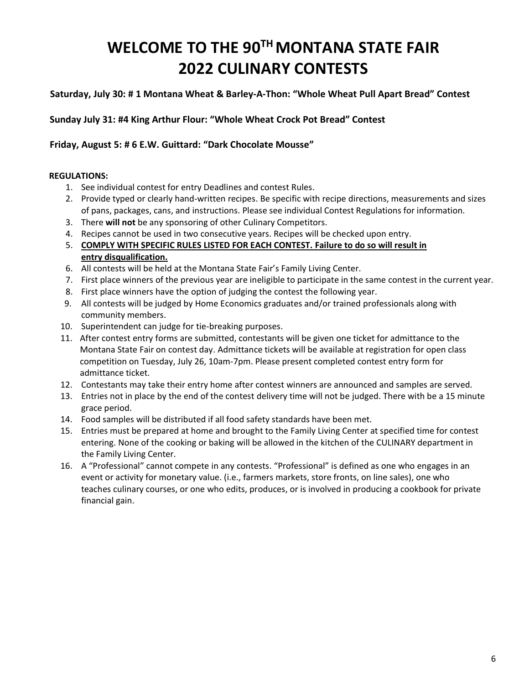# **WELCOME TO THE 90 TH MONTANA STATE FAIR 2022 CULINARY CONTESTS**

# **Saturday, July 30: # 1 Montana Wheat & Barley-A-Thon: "Whole Wheat Pull Apart Bread" Contest**

# **Sunday July 31: #4 King Arthur Flour: "Whole Wheat Crock Pot Bread" Contest**

# **Friday, August 5: # 6 E.W. Guittard: "Dark Chocolate Mousse"**

# **REGULATIONS:**

- 1. See individual contest for entry Deadlines and contest Rules.
- 2. Provide typed or clearly hand-written recipes. Be specific with recipe directions, measurements and sizes of pans, packages, cans, and instructions. Please see individual Contest Regulations for information.
- 3. There **will not** be any sponsoring of other Culinary Competitors.
- 4. Recipes cannot be used in two consecutive years. Recipes will be checked upon entry.
- 5. **COMPLY WITH SPECIFIC RULES LISTED FOR EACH CONTEST. Failure to do so will result in entry disqualification.**
- 6. All contests will be held at the Montana State Fair's Family Living Center.
- 7. First place winners of the previous year are ineligible to participate in the same contest in the current year.
- 8. First place winners have the option of judging the contest the following year.
- 9. All contests will be judged by Home Economics graduates and/or trained professionals along with community members.
- 10. Superintendent can judge for tie-breaking purposes.
- 11. After contest entry forms are submitted, contestants will be given one ticket for admittance to the Montana State Fair on contest day. Admittance tickets will be available at registration for open class competition on Tuesday, July 26, 10am-7pm. Please present completed contest entry form for admittance ticket.
- 12. Contestants may take their entry home after contest winners are announced and samples are served.
- 13. Entries not in place by the end of the contest delivery time will not be judged. There with be a 15 minute grace period.
- 14. Food samples will be distributed if all food safety standards have been met.
- 15. Entries must be prepared at home and brought to the Family Living Center at specified time for contest entering. None of the cooking or baking will be allowed in the kitchen of the CULINARY department in the Family Living Center.
- 16. A "Professional" cannot compete in any contests. "Professional" is defined as one who engages in an event or activity for monetary value. (i.e., farmers markets, store fronts, on line sales), one who teaches culinary courses, or one who edits, produces, or is involved in producing a cookbook for private financial gain.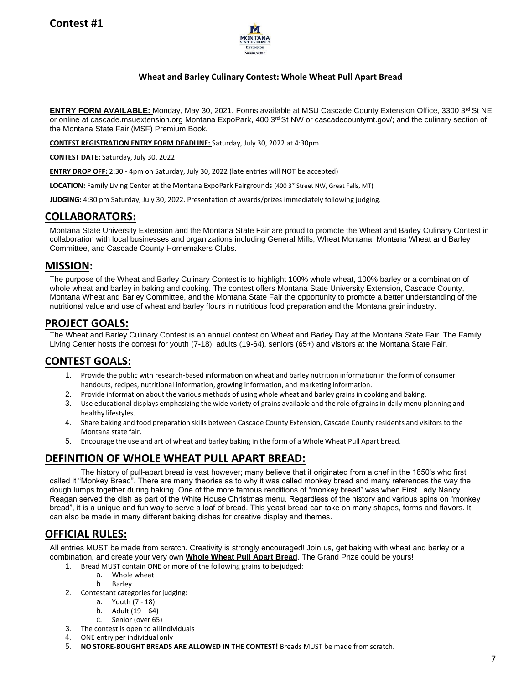

# **Wheat and Barley Culinary Contest: Whole Wheat Pull Apart Bread**

**ENTRY FORM AVAILABLE:** Monday, May 30, 2021. Forms available at MSU Cascade County Extension Office, 3300 3<sup>rd</sup> St NE or online at cascade.msuextension.org Montana ExpoPark, 400 3rd St NW or cascadecountymt.gov/; and the culinary section of the Montana State Fair (MSF) Premium Book.

**CONTEST REGISTRATION ENTRY FORM DEADLINE:** Saturday, July 30, 2022 at 4:30pm

**CONTEST DATE:** Saturday, July 30, 2022

**ENTRY DROP OFF:** 2:30 - 4pm on Saturday, July 30, 2022 (late entries will NOT be accepted)

LOCATION: Family Living Center at the Montana ExpoPark Fairgrounds (400 3<sup>rd</sup> Street NW, Great Falls, MT)

**JUDGING:** 4:30 pm Saturday, July 30, 2022. Presentation of awards/prizes immediately following judging.

# **COLLABORATORS:**

Montana State University Extension and the Montana State Fair are proud to promote the Wheat and Barley Culinary Contest in collaboration with local businesses and organizations including General Mills, Wheat Montana, Montana Wheat and Barley Committee, and Cascade County Homemakers Clubs.

# **MISSION:**

The purpose of the Wheat and Barley Culinary Contest is to highlight 100% whole wheat, 100% barley or a combination of whole wheat and barley in baking and cooking. The contest offers Montana State University Extension, Cascade County, Montana Wheat and Barley Committee, and the Montana State Fair the opportunity to promote a better understanding of the nutritional value and use of wheat and barley flours in nutritious food preparation and the Montana grain industry.

# **PROJECT GOALS:**

The Wheat and Barley Culinary Contest is an annual contest on Wheat and Barley Day at the Montana State Fair. The Family Living Center hosts the contest for youth (7-18), adults (19-64), seniors (65+) and visitors at the Montana State Fair.

# **CONTEST GOALS:**

- 1. Provide the public with research-based information on wheat and barley nutrition information in the form of consumer handouts, recipes, nutritional information, growing information, and marketing information.
- 2. Provide information about the various methods of using whole wheat and barley grains in cooking and baking.
- 3. Use educational displays emphasizing the wide variety of grains available and the role of grains in daily menu planning and healthy lifestyles.
- 4. Share baking and food preparation skills between Cascade County Extension, Cascade County residents and visitors to the Montana state fair.
- 5. Encourage the use and art of wheat and barley baking in the form of a Whole Wheat Pull Apart bread.

# **DEFINITION OF WHOLE WHEAT PULL APART BREAD:**

The history of pull-apart bread is vast however; many believe that it originated from a chef in the 1850's who first called it "Monkey Bread". There are many theories as to why it was called monkey bread and many references the way the dough lumps together during baking. One of the more famous renditions of "monkey bread" was when First Lady Nancy Reagan served the dish as part of the White House Christmas menu. Regardless of the history and various spins on "monkey bread", it is a unique and fun way to serve a loaf of bread. This yeast bread can take on many shapes, forms and flavors. It can also be made in many different baking dishes for creative display and themes.

# **OFFICIAL RULES:**

All entries MUST be made from scratch. Creativity is strongly encouraged! Join us, get baking with wheat and barley or a combination, and create your very own **Whole Wheat Pull Apart Bread**. The Grand Prize could be yours!

- 1. Bread MUST contain ONE or more of the following grains to bejudged:
	- a. Whole wheat
	- b. Barley
- 2. Contestant categories for judging:
	- a. Youth (7 18)
	- b. Adult (19 64)
	- c. Senior (over 65)
- 3. The contest is open to all individuals
- 4. ONE entry per individual only
- 5. **NO STORE-BOUGHT BREADS ARE ALLOWED IN THE CONTEST!** Breads MUST be made fromscratch.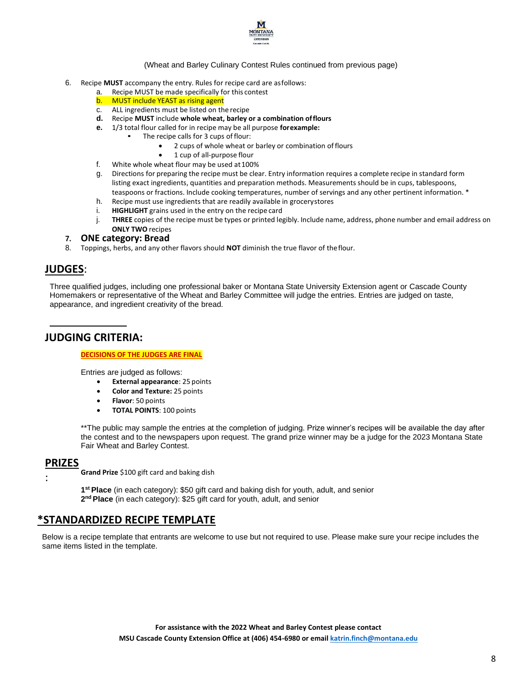

#### (Wheat and Barley Culinary Contest Rules continued from previous page)

- 6. Recipe **MUST** accompany the entry. Rules for recipe card are asfollows:
	- a. Recipe MUST be made specifically for this contest<br>b. MUST include YEAST as rising agent
	-
	- **b.** MUST include YEAST as rising agent<br>c. ALL ingredients must be listed on th ALL ingredients must be listed on the recipe
	- **d.** Recipe **MUST** include **whole wheat, barley or a combination offlours**
	- **e.** 1/3 total flour called for in recipe may be all purpose **forexample:**
		- The recipe calls for 3 cups of flour:
			- 2 cups of whole wheat or barley or combination offlours
			- 1 cup of all-purpose flour
	- f. White whole wheat flour may be used at100%
	- g. Directions for preparing the recipe must be clear. Entry information requires a complete recipe in standard form listing exact ingredients, quantities and preparation methods. Measurements should be in cups, tablespoons, teaspoons or fractions. Include cooking temperatures, number of servings and any other pertinent information. \*
	- h. Recipe must use ingredients that are readily available in grocerystores
	- i. **HIGHLIGHT** grains used in the entry on the recipe card
	- j. **THREE** copies of the recipe must be types or printed legibly. Include name, address, phone number and email address on **ONLY TWO** recipes

#### **7. ONE category: Bread**

8. Toppings, herbs, and any other flavors should **NOT** diminish the true flavor of theflour.

# **JUDGES**:

Three qualified judges, including one professional baker or Montana State University Extension agent or Cascade County Homemakers or representative of the Wheat and Barley Committee will judge the entries. Entries are judged on taste, appearance, and ingredient creativity of the bread.

# **JUDGING CRITERIA:**

#### **DECISIONS OF THE JUDGES ARE FINAL**

Entries are judged as follows:

- **External appearance**: 25 points
- **Color and Texture:** 25 points
- **Flavor**: 50 points
- **TOTAL POINTS**: 100 points

\*\*The public may sample the entries at the completion of judging. Prize winner's recipes will be available the day after the contest and to the newspapers upon request. The grand prize winner may be a judge for the 2023 Montana State Fair Wheat and Barley Contest.

# **PRIZES**

:

**Grand Prize** \$100 gift card and baking dish

**1 st Place** (in each category): \$50 gift card and baking dish for youth, adult, and senior **2 nd Place** (in each category): \$25 gift card for youth, adult, and senior

# **\*STANDARDIZED RECIPE TEMPLATE**

Below is a recipe template that entrants are welcome to use but not required to use. Please make sure your recipe includes the same items listed in the template.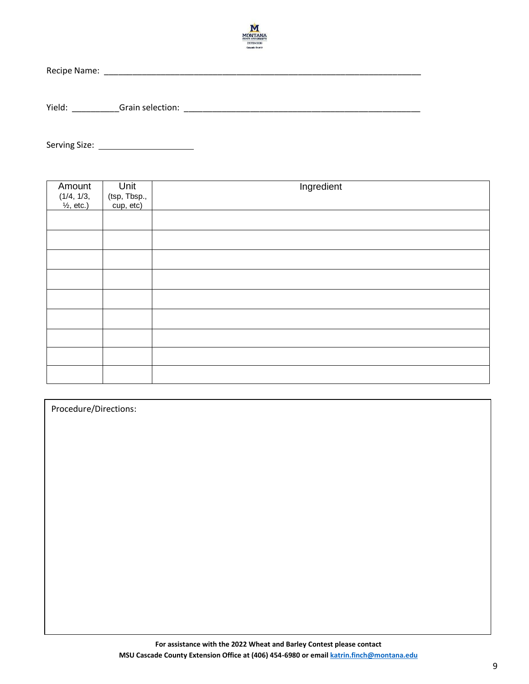

Recipe Name: \_\_\_\_\_\_\_\_\_\_\_\_\_\_\_\_\_\_\_\_\_\_\_\_\_\_\_\_\_\_\_\_\_\_\_\_\_\_\_\_\_\_\_\_\_\_\_\_\_\_\_\_\_\_\_\_\_\_\_\_\_\_\_\_\_\_\_

Yield: \_\_\_\_\_\_\_\_\_\_Grain selection: \_\_\_\_\_\_\_\_\_\_\_\_\_\_\_\_\_\_\_\_\_\_\_\_\_\_\_\_\_\_\_\_\_\_\_\_\_\_\_\_\_\_\_\_\_\_\_\_\_\_

Serving Size:

| Amount<br>$(1/4, 1/3,$<br>$\frac{1}{2}$ , etc.) | Unit<br>(tsp, Tbsp.,<br>cup, etc) | Ingredient |
|-------------------------------------------------|-----------------------------------|------------|
|                                                 |                                   |            |
|                                                 |                                   |            |
|                                                 |                                   |            |
|                                                 |                                   |            |
|                                                 |                                   |            |
|                                                 |                                   |            |
|                                                 |                                   |            |
|                                                 |                                   |            |
|                                                 |                                   |            |

| Procedure/Directions: |
|-----------------------|
|-----------------------|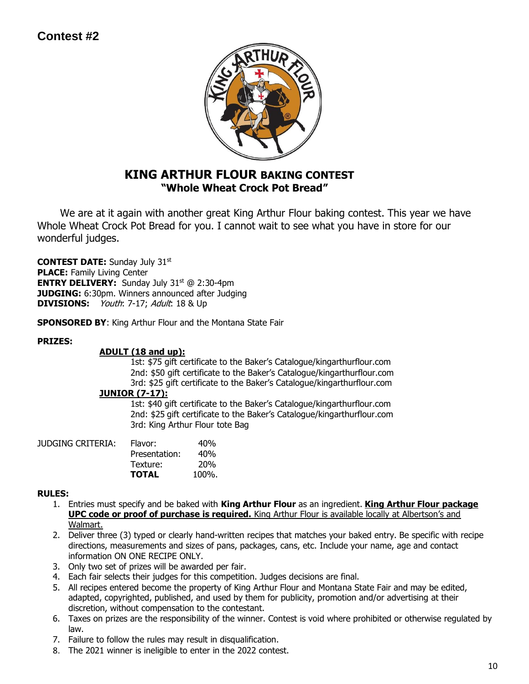# **Contest #2**



# **KING ARTHUR FLOUR BAKING CONTEST "Whole Wheat Crock Pot Bread"**

 We are at it again with another great King Arthur Flour baking contest. This year we have Whole Wheat Crock Pot Bread for you. I cannot wait to see what you have in store for our wonderful judges.

**CONTEST DATE:** Sunday July 31st **PLACE:** Family Living Center **ENTRY DELIVERY:** Sunday July 31<sup>st</sup> @ 2:30-4pm **JUDGING:** 6:30pm. Winners announced after Judging **DIVISIONS:** *Youth*: 7-17; Adult: 18 & Up

**SPONSORED BY**: King Arthur Flour and the Montana State Fair

# **PRIZES:**

# **ADULT (18 and up):**

1st: \$75 gift certificate to the Baker's Catalogue/kingarthurflour.com 2nd: \$50 gift certificate to the Baker's Catalogue/kingarthurflour.com 3rd: \$25 gift certificate to the Baker's Catalogue/kingarthurflour.com

# **JUNIOR (7-17):**

1st: \$40 gift certificate to the Baker's Catalogue/kingarthurflour.com 2nd: \$25 gift certificate to the Baker's Catalogue/kingarthurflour.com 3rd: King Arthur Flour tote Bag

| JUDGING CRITERIA: | Flavor:       | 40%        |
|-------------------|---------------|------------|
|                   | Presentation: | 40%        |
|                   | Texture:      | <b>20%</b> |
|                   | <b>TOTAL</b>  | $100\%$ .  |

# **RULES:**

- 1. Entries must specify and be baked with **King Arthur Flour** as an ingredient. **King Arthur Flour package UPC code or proof of purchase is required.** King Arthur Flour is available locally at Albertson's and Walmart.
- 2. Deliver three (3) typed or clearly hand-written recipes that matches your baked entry. Be specific with recipe directions, measurements and sizes of pans, packages, cans, etc. Include your name, age and contact information ON ONE RECIPE ONLY.
- 3. Only two set of prizes will be awarded per fair.
- 4. Each fair selects their judges for this competition. Judges decisions are final.
- 5. All recipes entered become the property of King Arthur Flour and Montana State Fair and may be edited, adapted, copyrighted, published, and used by them for publicity, promotion and/or advertising at their discretion, without compensation to the contestant.
- 6. Taxes on prizes are the responsibility of the winner. Contest is void where prohibited or otherwise regulated by law.
- 7. Failure to follow the rules may result in disqualification.
- 8. The 2021 winner is ineligible to enter in the 2022 contest.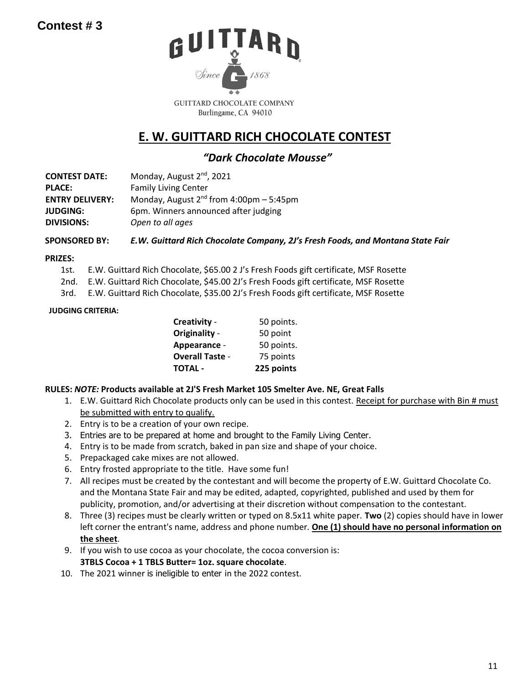

Burlingame, CA 94010

# **E. W. GUITTARD RICH CHOCOLATE CONTEST**

# *"Dark Chocolate Mousse"*

| <b>CONTEST DATE:</b>   | Monday, August 2 <sup>nd</sup> , 2021          |
|------------------------|------------------------------------------------|
| <b>PLACE:</b>          | <b>Family Living Center</b>                    |
| <b>ENTRY DELIVERY:</b> | Monday, August $2^{nd}$ from 4:00pm $-5:45$ pm |
| <b>JUDGING:</b>        | 6pm. Winners announced after judging           |
| <b>DIVISIONS:</b>      | Open to all ages                               |

**SPONSORED BY:** *E.W. Guittard Rich Chocolate Company, 2J's Fresh Foods, and Montana State Fair*

# **PRIZES:**

- 1st. E.W. Guittard Rich Chocolate, \$65.00 2 J's Fresh Foods gift certificate, MSF Rosette
- 2nd. E.W. Guittard Rich Chocolate, \$45.00 2J's Fresh Foods gift certificate, MSF Rosette
- 3rd. E.W. Guittard Rich Chocolate, \$35.00 2J's Fresh Foods gift certificate, MSF Rosette

# **JUDGING CRITERIA:**

| TOTAL -                | 225 points |
|------------------------|------------|
| <b>Overall Taste -</b> | 75 points  |
| Appearance -           | 50 points. |
| Originality -          | 50 point   |
| Creativity -           | 50 points. |

# **RULES:** *NOTE:* **Products available at 2J'S Fresh Market 105 Smelter Ave. NE, Great Falls**

- 1. E.W. Guittard Rich Chocolate products only can be used in this contest. Receipt for purchase with Bin # must be submitted with entry to qualify.
- 2. Entry is to be a creation of your own recipe.
- 3. Entries are to be prepared at home and brought to the Family Living Center.
- 4. Entry is to be made from scratch, baked in pan size and shape of your choice.
- 5. Prepackaged cake mixes are not allowed.
- 6. Entry frosted appropriate to the title. Have some fun!
- 7. All recipes must be created by the contestant and will become the property of E.W. Guittard Chocolate Co. and the Montana State Fair and may be edited, adapted, copyrighted, published and used by them for publicity, promotion, and/or advertising at their discretion without compensation to the contestant.
- 8. Three (3) recipes must be clearly written or typed on 8.5x11 white paper. **Two** (2) copies should have in lower left corner the entrant's name, address and phone number. **One (1) should have no personal information on the sheet**.
- 9. If you wish to use cocoa as your chocolate, the cocoa conversion is:

# **3TBLS Cocoa + 1 TBLS Butter= 1oz. square chocolate**.

10. The 2021 winner is ineligible to enter in the 2022 contest.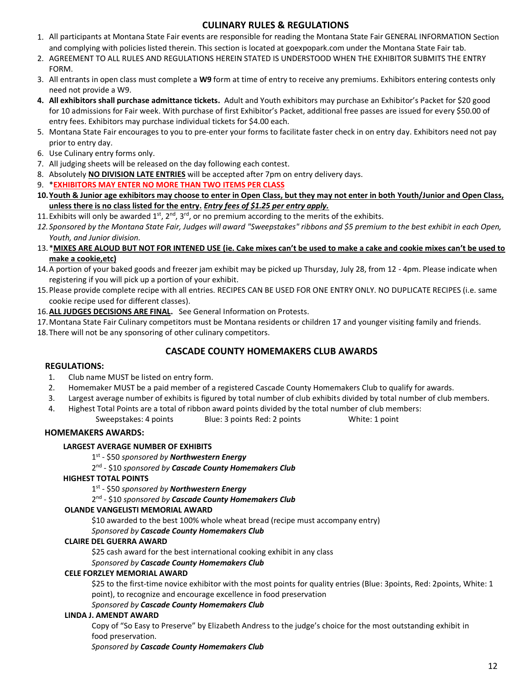# **CULINARY RULES & REGULATIONS**

- 1. All participants at Montana State Fair events are responsible for reading the Montana State Fair GENERAL INFORMATION Section and complying with policies listed therein. This section is located at goexpopark.com under the Montana State Fair tab.
- 2. AGREEMENT TO ALL RULES AND REGULATIONS HEREIN STATED IS UNDERSTOOD WHEN THE EXHIBITOR SUBMITS THE ENTRY FORM.
- 3. All entrants in open class must complete a **W9** form at time of entry to receive any premiums. Exhibitors entering contests only need not provide a W9.
- **4. All exhibitors shall purchase admittance tickets.** Adult and Youth exhibitors may purchase an Exhibitor's Packet for \$20 good for 10 admissions for Fair week. With purchase of first Exhibitor's Packet, additional free passes are issued for every \$50.00 of entry fees. Exhibitors may purchase individual tickets for \$4.00 each.
- 5. Montana State Fair encourages to you to pre-enter your forms to facilitate faster check in on entry day. Exhibitors need not pay prior to entry day.
- 6. Use Culinary entry forms only.
- 7. All judging sheets will be released on the day following each contest.
- 8. Absolutely **NO DIVISION LATE ENTRIES** will be accepted after 7pm on entry delivery days.
- 9. \***EXHIBITORS MAY ENTER NO MORE THAN TWO ITEMS PER CLASS**
- **10.Youth & Junior age exhibitors may choose to enter in Open Class, but they may not enter in both Youth/Junior and Open Class, unless there is no class listed for the entry.** *Entry fees of \$1.25 per entry apply.*
- 11. Exhibits will only be awarded  $1^{st}$ ,  $2^{nd}$ ,  $3^{rd}$ , or no premium according to the merits of the exhibits.
- *12.Sponsored by the Montana State Fair, Judges will award "Sweepstakes" ribbons and \$5 premium to the best exhibit in each Open, Youth, and Junior division.*
- 13.\***MIXES ARE ALOUD BUT NOT FOR INTENED USE (ie. Cake mixes can't be used to make a cake and cookie mixes can't be used to make a cookie,etc)**
- 14.A portion of your baked goods and freezer jam exhibit may be picked up Thursday, July 28, from 12 4pm. Please indicate when registering if you will pick up a portion of your exhibit.
- 15.Please provide complete recipe with all entries. RECIPES CAN BE USED FOR ONE ENTRY ONLY. NO DUPLICATE RECIPES (i.e. same cookie recipe used for different classes).
- 16.**ALL JUDGES DECISIONS ARE FINAL.** See General Information on Protests.
- 17.Montana State Fair Culinary competitors must be Montana residents or children 17 and younger visiting family and friends.
- 18.There will not be any sponsoring of other culinary competitors.

# **CASCADE COUNTY HOMEMAKERS CLUB AWARDS**

#### **REGULATIONS:**

- 1. Club name MUST be listed on entry form.
- 2. Homemaker MUST be a paid member of a registered Cascade County Homemakers Club to qualify for awards.
- 3. Largest average number of exhibits is figured by total number of club exhibits divided by total number of club members.
- 4. Highest Total Points are a total of ribbon award points divided by the total number of club members:
	- Sweepstakes: 4 points Blue: 3 points Red: 2 points White: 1 point

# **HOMEMAKERS AWARDS:**

### **LARGEST AVERAGE NUMBER OF EXHIBITS**

1 st - \$50 *sponsored by Northwestern Energy*

2 nd - \$10 *sponsored by Cascade County Homemakers Club*

#### **HIGHEST TOTAL POINTS**

1 st - \$50 *sponsored by Northwestern Energy*

2 nd - \$10 *sponsored by Cascade County Homemakers Club*

#### **OLANDE VANGELISTI MEMORIAL AWARD**

\$10 awarded to the best 100% whole wheat bread (recipe must accompany entry)

#### *Sponsored by Cascade County Homemakers Club*

#### **CLAIRE DEL GUERRA AWARD**

\$25 cash award for the best international cooking exhibit in any class

# *Sponsored by Cascade County Homemakers Club*

### **CELE FORZLEY MEMORIAL AWARD**

\$25 to the first-time novice exhibitor with the most points for quality entries (Blue: 3points, Red: 2points, White: 1 point), to recognize and encourage excellence in food preservation

### *Sponsored by Cascade County Homemakers Club*

### **LINDA J. AMENDT AWARD**

Copy of "So Easy to Preserve" by Elizabeth Andress to the judge's choice for the most outstanding exhibit in food preservation.

*Sponsored by Cascade County Homemakers Club*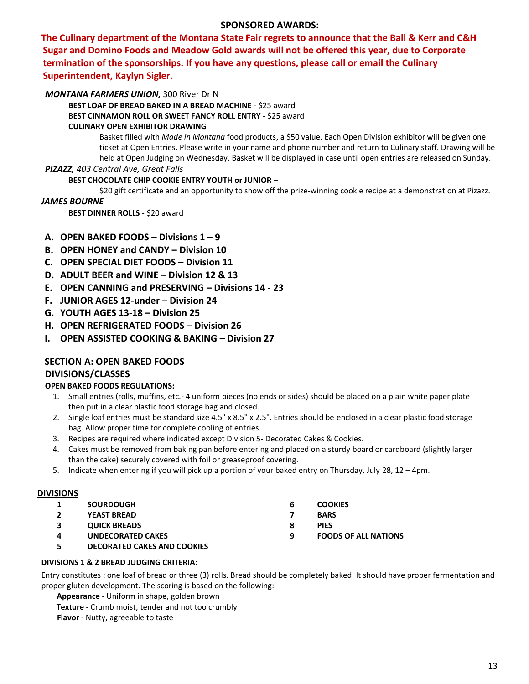# **SPONSORED AWARDS:**

**The Culinary department of the Montana State Fair regrets to announce that the Ball & Kerr and C&H Sugar and Domino Foods and Meadow Gold awards will not be offered this year, due to Corporate termination of the sponsorships. If you have any questions, please call or email the Culinary Superintendent, Kaylyn Sigler.**

# *MONTANA FARMERS UNION,* 300 River Dr N

**BEST LOAF OF BREAD BAKED IN A BREAD MACHINE** - \$25 award **BEST CINNAMON ROLL OR SWEET FANCY ROLL ENTRY** - \$25 award **CULINARY OPEN EXHIBITOR DRAWING**

> Basket filled with *Made in Montana* food products, a \$50 value. Each Open Division exhibitor will be given one ticket at Open Entries. Please write in your name and phone number and return to Culinary staff. Drawing will be held at Open Judging on Wednesday. Basket will be displayed in case until open entries are released on Sunday.

#### *PIZAZZ, 403 Central Ave, Great Falls*

#### **BEST CHOCOLATE CHIP COOKIE ENTRY YOUTH or JUNIOR** –

\$20 gift certificate and an opportunity to show off the prize-winning cookie recipe at a demonstration at Pizazz.

#### *JAMES BOURNE*

**BEST DINNER ROLLS - \$20 award** 

- **A. OPEN BAKED FOODS – Divisions 1 – 9**
- **B. OPEN HONEY and CANDY – Division 10**
- **C. OPEN SPECIAL DIET FOODS – Division 11**
- **D. ADULT BEER and WINE – Division 12 & 13**
- **E. OPEN CANNING and PRESERVING – Divisions 14 - 23**
- **F. JUNIOR AGES 12-under – Division 24**
- **G. YOUTH AGES 13-18 – Division 25**
- **H. OPEN REFRIGERATED FOODS – Division 26**
- **I. OPEN ASSISTED COOKING & BAKING – Division 27**

# **SECTION A: OPEN BAKED FOODS DIVISIONS/CLASSES**

# **OPEN BAKED FOODS REGULATIONS:**

- 1. Small entries (rolls, muffins, etc.- 4 uniform pieces (no ends or sides) should be placed on a plain white paper plate then put in a clear plastic food storage bag and closed.
- 2. Single loaf entries must be standard size 4.5" x 8.5" x 2.5". Entries should be enclosed in a clear plastic food storage bag. Allow proper time for complete cooling of entries.
- 3. Recipes are required where indicated except Division 5- Decorated Cakes & Cookies.
- 4. Cakes must be removed from baking pan before entering and placed on a sturdy board or cardboard (slightly larger than the cake) securely covered with foil or greaseproof covering.
- 5. Indicate when entering if you will pick up a portion of your baked entry on Thursday, July 28, 12 4pm.

#### **DIVISIONS**

| 1 | <b>SOURDOUGH</b>         | b | <b>COOKIES</b>              |
|---|--------------------------|---|-----------------------------|
|   | <b>YEAST BREAD</b>       |   | <b>BARS</b>                 |
| 3 | <b>QUICK BREADS</b>      | 8 | <b>PIES</b>                 |
| 4 | <b>UNDECORATED CAKES</b> | a | <b>FOODS OF ALL NATIONS</b> |
|   |                          |   |                             |

**5 DECORATED CAKES AND COOKIES**

### **DIVISIONS 1 & 2 BREAD JUDGING CRITERIA:**

Entry constitutes : one loaf of bread or three (3) rolls. Bread should be completely baked. It should have proper fermentation and proper gluten development. The scoring is based on the following:

**Appearance** - Uniform in shape, golden brown

**Texture** - Crumb moist, tender and not too crumbly

**Flavor** - Nutty, agreeable to taste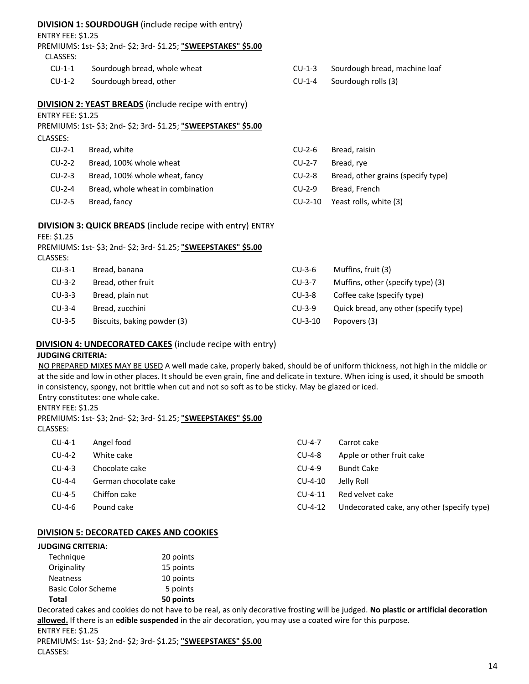| <b>DIVISION 1: SOURDOUGH</b> (include recipe with entry) |  |
|----------------------------------------------------------|--|
|----------------------------------------------------------|--|

ENTRY FEE: \$1.25

PREMIUMS: 1st- \$3; 2nd- \$2; 3rd- \$1.25; **"SWEEPSTAKES" \$5.00**

| CLASSES: |  |
|----------|--|
|----------|--|

- CU-1-1 Sourdough bread, whole wheat
- CU-1-2 Sourdough bread, other
- CU-1-3 Sourdough bread, machine loaf
- CU-1-4 Sourdough rolls (3)

# **DIVISION 2: YEAST BREADS** (include recipe with entry)

ENTRY FEE: \$1.25

| PREMIUMS: 1st- \$3; 2nd- \$2; 3rd- \$1.25; "SWEEPSTAKES" \$5.00 |  |
|-----------------------------------------------------------------|--|
| $C$ LASSES $\cdot$                                              |  |

| , <i>__</i> _____ |                                   |           |                                    |
|-------------------|-----------------------------------|-----------|------------------------------------|
| $CU-2-1$          | Bread, white                      | CU-2-6    | Bread, raisin                      |
| $CU-2-2$          | Bread, 100% whole wheat           | $CU-2-7$  | Bread, rye                         |
| $CU-2-3$          | Bread, 100% whole wheat, fancy    | $CU-2-8$  | Bread, other grains (specify type) |
| $CU-2-4$          | Bread, whole wheat in combination | $CU-2-9$  | Bread, French                      |
| $CU-2-5$          | Bread, fancy                      | $CU-2-10$ | Yeast rolls, white (3)             |

# **DIVISION 3: QUICK BREADS** (include recipe with entry) ENTRY

FEE: \$1.25

| CLASSES: | PREMIUMS: 1st- \$3; 2nd- \$2; 3rd- \$1.25; "SWEEPSTAKES" \$5.00 |           |                                   |
|----------|-----------------------------------------------------------------|-----------|-----------------------------------|
| $CU-3-1$ | Bread, banana                                                   | $CU-3-6$  | Muffins, fruit (3)                |
| $CU-3-2$ | Bread, other fruit                                              | $CU-3-7$  | Muffins, other (specify type) (3) |
| $CU-3-3$ | Bread, plain nut                                                | CU-3-8    | Coffee cake (specify type)        |
| $CU-3-4$ | Bread, zucchini                                                 | $CU-3-9$  | Quick bread, any other (specify t |
| $CU-3-5$ | Biscuits, baking powder (3)                                     | $CU-3-10$ | Popovers (3)                      |

# **DIVISION 4: UNDECORATED CAKES** (include recipe with entry)

# **JUDGING CRITERIA:**

NO PREPARED MIXES MAY BE USED A well made cake, properly baked, should be of uniform thickness, not high in the middle or at the side and low in other places. It should be even grain, fine and delicate in texture. When icing is used, it should be smooth in consistency, spongy, not brittle when cut and not so soft as to be sticky. May be glazed or iced.

Entry constitutes: one whole cake.

# ENTRY FEE: \$1.25

PREMIUMS: 1st- \$3; 2nd- \$2; 3rd- \$1.25; **"SWEEPSTAKES" \$5.00**

# CLASSES:

| Undecorated cake, any other (specify type) |
|--------------------------------------------|
|                                            |

# **DIVISION 5: DECORATED CAKES AND COOKIES**

# **JUDGING CRITERIA:**

| Total                     | 50 points |
|---------------------------|-----------|
| <b>Basic Color Scheme</b> | 5 points  |
| <b>Neatness</b>           | 10 points |
| Originality               | 15 points |
| Technique                 | 20 points |

Decorated cakes and cookies do not have to be real, as only decorative frosting will be judged. **No plastic or artificial decoration allowed.** If there is an **edible suspended** in the air decoration, you may use a coated wire for this purpose. ENTRY FEE: \$1.25

PREMIUMS: 1st- \$3; 2nd- \$2; 3rd- \$1.25; **"SWEEPSTAKES" \$5.00** CLASSES:

type)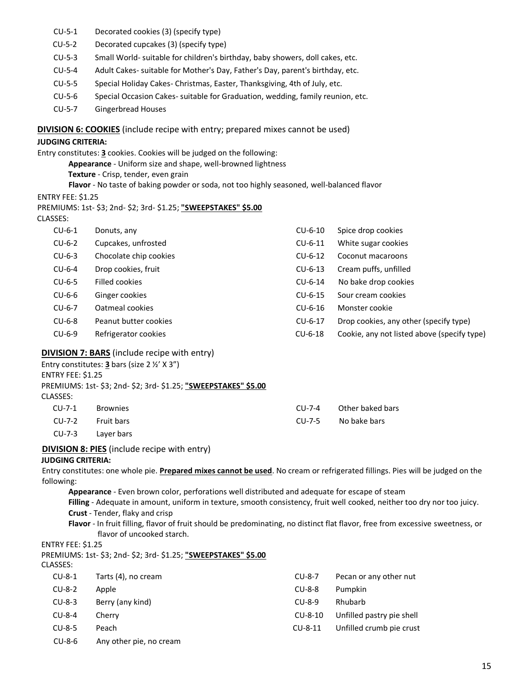- CU-5-1 Decorated cookies (3) (specify type)
- CU-5-2 Decorated cupcakes (3) (specify type)
- CU-5-3 Small World- suitable for children's birthday, baby showers, doll cakes, etc.
- CU-5-4 Adult Cakes- suitable for Mother's Day, Father's Day, parent's birthday, etc.
- CU-5-5 Special Holiday Cakes- Christmas, Easter, Thanksgiving, 4th of July, etc.
- CU-5-6 Special Occasion Cakes- suitable for Graduation, wedding, family reunion, etc.
- CU-5-7 Gingerbread Houses

#### **DIVISION 6: COOKIES** (include recipe with entry; prepared mixes cannot be used)

#### **JUDGING CRITERIA:**

Entry constitutes: **3** cookies. Cookies will be judged on the following:

**Appearance** - Uniform size and shape, well-browned lightness

- **Texture**  Crisp, tender, even grain
- **Flavor**  No taste of baking powder or soda, not too highly seasoned, well-balanced flavor

ENTRY FEE: \$1.25

| PREMIUMS: 1st- \$3; 2nd- \$2; 3rd- \$1.25; "SWEEPSTAKES" \$5.00 |  |  |
|-----------------------------------------------------------------|--|--|
|                                                                 |  |  |

| $CU-6-1$ | Donuts, any            | $CU-6-10$ | Spice drop cookies                          |
|----------|------------------------|-----------|---------------------------------------------|
| $CU-6-2$ | Cupcakes, unfrosted    | $CU-6-11$ | White sugar cookies                         |
| $CU-6-3$ | Chocolate chip cookies | $CU-6-12$ | Coconut macaroons                           |
| $CU-6-4$ | Drop cookies, fruit    | $CU-6-13$ | Cream puffs, unfilled                       |
| $CU-6-5$ | Filled cookies         | $CU-6-14$ | No bake drop cookies                        |
| $CU-6-6$ | Ginger cookies         | $CU-6-15$ | Sour cream cookies                          |
| $CU-6-7$ | Oatmeal cookies        | $CU-6-16$ | Monster cookie                              |
| $CU-6-8$ | Peanut butter cookies  | $CU-6-17$ | Drop cookies, any other (specify type)      |
| $CU-6-9$ | Refrigerator cookies   | $CU-6-18$ | Cookie, any not listed above (specify type) |

#### **DIVISION 7: BARS** (include recipe with entry)

| ENTRY FEE: \$1.25<br>CLASSES: | Entry constitutes: <b>3</b> bars (size $2 \frac{1}{2}$ ' X 3")<br>PREMIUMS: 1st- \$3; 2nd- \$2; 3rd- \$1.25; "SWEEPSTAKES" \$5.00 |           |                  |  |
|-------------------------------|-----------------------------------------------------------------------------------------------------------------------------------|-----------|------------------|--|
| $CU-7-1$                      | <b>Brownies</b>                                                                                                                   | $CLJ-7-4$ | Other baked bars |  |
| CU-7-2                        | <b>Fruit bars</b>                                                                                                                 | $CLJ-7-5$ | No bake bars     |  |
| $CU-7-3$                      | Layer bars                                                                                                                        |           |                  |  |

#### **DIVISION 8: PIES** (include recipe with entry)

# **JUDGING CRITERIA:**

Entry constitutes: one whole pie. **Prepared mixes cannot be used**. No cream or refrigerated fillings. Pies will be judged on the following:

**Appearance** - Even brown color, perforations well distributed and adequate for escape of steam

**Filling** - Adequate in amount, uniform in texture, smooth consistency, fruit well cooked, neither too dry nor too juicy. **Crust** - Tender, flaky and crisp

**Flavor** - In fruit filling, flavor of fruit should be predominating, no distinct flat flavor, free from excessive sweetness, or flavor of uncooked starch.

### ENTRY FEE: \$1.25

PREMIUMS: 1st- \$3; 2nd- \$2; 3rd- \$1.25; **"SWEEPSTAKES" \$5.00**

| CLASSES: |  |  |  |
|----------|--|--|--|
|          |  |  |  |

| CU-8-1 | Tarts (4), no cream     | CU-8-7    | Pecan or any other nut    |
|--------|-------------------------|-----------|---------------------------|
| CU-8-2 | Apple                   | CU-8-8    | Pumpkin                   |
| CU-8-3 | Berry (any kind)        | $CU-8-9$  | Rhubarb                   |
| CU-8-4 | Cherry                  | $CU-8-10$ | Unfilled pastry pie shell |
| CU-8-5 | Peach                   | $CU-8-11$ | Unfilled crumb pie crust  |
| CU-8-6 | Any other pie, no cream |           |                           |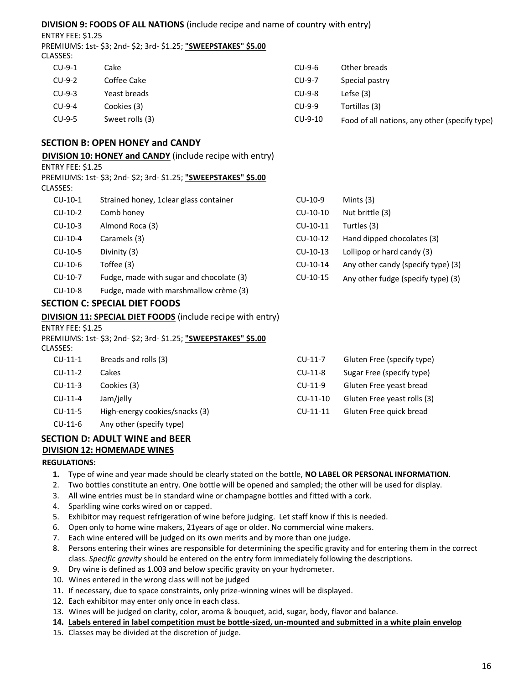# **DIVISION 9: FOODS OF ALL NATIONS** (include recipe and name of country with entry)

ENTRY FEE: \$1.25

PREMIUMS: 1st- \$3; 2nd- \$2; 3rd- \$1.25; **"SWEEPSTAKES" \$5.00** CLASSES:

| $CU-9-1$ | Cakel           | $CU-9-6$  | Other breads                                  |
|----------|-----------------|-----------|-----------------------------------------------|
| $CU-9-2$ | Coffee Cake     | $CU-9-7$  | Special pastry                                |
| $CU-9-3$ | Yeast breads    | $CU-9-8$  | Lefse $(3)$                                   |
| $CU-9-4$ | Cookies (3)     | $CU-9-9$  | Tortillas (3)                                 |
| $CU-9-5$ | Sweet rolls (3) | $CU-9-10$ | Food of all nations, any other (specify type) |

# **SECTION B: OPEN HONEY and CANDY**

**DIVISION 10: HONEY and CANDY** (include recipe with entry)

ENTRY FEE: \$1.25

PREMIUMS: 1st- \$3; 2nd- \$2; 3rd- \$1.25; **"SWEEPSTAKES" \$5.00**

CLASSES:

| $CU-10-1$ | Strained honey, 1 clear glass container  | $CU-10-9$  | Mints $(3)$                        |
|-----------|------------------------------------------|------------|------------------------------------|
| $CU-10-2$ | Comb honey                               | $CU-10-10$ | Nut brittle (3)                    |
| $CU-10-3$ | Almond Roca (3)                          | CU-10-11   | Turtles (3)                        |
| $CU-10-4$ | Caramels (3)                             | $CU-10-12$ | Hand dipped chocolates (3)         |
| $CU-10-5$ | Divinity (3)                             | $CU-10-13$ | Lollipop or hard candy (3)         |
| $CU-10-6$ | Toffee (3)                               | CU-10-14   | Any other candy (specify type) (3) |
| $CU-10-7$ | Fudge, made with sugar and chocolate (3) | CU-10-15   | Any other fudge (specify type) (3) |
| $CU-10-8$ | Fudge, made with marshmallow crème (3)   |            |                                    |

# **SECTION C: SPECIAL DIET FOODS**

**DIVISION 11: SPECIAL DIET FOODS** (include recipe with entry)

ENTRY FEE: \$1.25

PREMIUMS: 1st- \$3; 2nd- \$2; 3rd- \$1.25; **"SWEEPSTAKES" \$5.00** CLASSES

| LLASSES:  |                                |            |                             |
|-----------|--------------------------------|------------|-----------------------------|
| $CU-11-1$ | Breads and rolls (3)           | $CU-11-7$  | Gluten Free (specify type)  |
| $CU-11-2$ | Cakes                          | $CU-11-8$  | Sugar Free (specify type)   |
| $CU-11-3$ | Cookies (3)                    | $CU-11-9$  | Gluten Free yeast bread     |
| $CU-11-4$ | Jam/jelly                      | $CU-11-10$ | Gluten Free yeast rolls (3) |
| $CU-11-5$ | High-energy cookies/snacks (3) | $CU-11-11$ | Gluten Free quick bread     |
| $CU-11-6$ | Any other (specify type)       |            |                             |

# **SECTION D: ADULT WINE and BEER DIVISION 12: HOMEMADE WINES**

#### **REGULATIONS:**

- **1.** Type of wine and year made should be clearly stated on the bottle, **NO LABEL OR PERSONAL INFORMATION**.
- 2. Two bottles constitute an entry. One bottle will be opened and sampled; the other will be used for display.
- 3. All wine entries must be in standard wine or champagne bottles and fitted with a cork.
- 4. Sparkling wine corks wired on or capped.
- 5. Exhibitor may request refrigeration of wine before judging. Let staff know if this is needed.
- 6. Open only to home wine makers, 21years of age or older. No commercial wine makers.
- 7. Each wine entered will be judged on its own merits and by more than one judge.
- 8. Persons entering their wines are responsible for determining the specific gravity and for entering them in the correct class. *Specific gravity* should be entered on the entry form immediately following the descriptions.
- 9. Dry wine is defined as 1.003 and below specific gravity on your hydrometer.
- 10. Wines entered in the wrong class will not be judged
- 11. If necessary, due to space constraints, only prize-winning wines will be displayed.
- 12. Each exhibitor may enter only once in each class.
- 13. Wines will be judged on clarity, color, aroma & bouquet, acid, sugar, body, flavor and balance.
- **14. Labels entered in label competition must be bottle-sized, un-mounted and submitted in a white plain envelop**
- 15. Classes may be divided at the discretion of judge.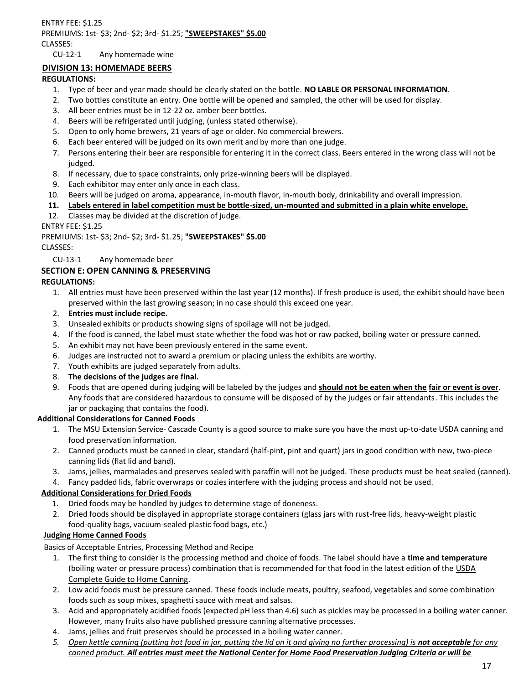### ENTRY FEE: \$1.25 PREMIUMS: 1st- \$3; 2nd- \$2; 3rd- \$1.25; **"SWEEPSTAKES" \$5.00** CLASSES: CU-12-1 Any homemade wine

# **DIVISION 13: HOMEMADE BEERS**

# **REGULATIONS:**

- 1. Type of beer and year made should be clearly stated on the bottle. **NO LABLE OR PERSONAL INFORMATION**.
- 2. Two bottles constitute an entry. One bottle will be opened and sampled, the other will be used for display.
- 3. All beer entries must be in 12-22 oz. amber beer bottles.
- 4. Beers will be refrigerated until judging, (unless stated otherwise).
- 5. Open to only home brewers, 21 years of age or older. No commercial brewers.
- 6. Each beer entered will be judged on its own merit and by more than one judge.
- 7. Persons entering their beer are responsible for entering it in the correct class. Beers entered in the wrong class will not be judged.
- 8. If necessary, due to space constraints, only prize-winning beers will be displayed.
- 9. Each exhibitor may enter only once in each class.
- 10. Beers will be judged on aroma, appearance, in-mouth flavor, in-mouth body, drinkability and overall impression.
- **11. Labels entered in label competition must be bottle-sized, un-mounted and submitted in a plain white envelope.**
- 12. Classes may be divided at the discretion of judge.

ENTRY FEE: \$1.25

PREMIUMS: 1st- \$3; 2nd- \$2; 3rd- \$1.25; **"SWEEPSTAKES" \$5.00**

CLASSES:

CU-13-1 Any homemade beer

# **SECTION E: OPEN CANNING & PRESERVING**

# **REGULATIONS:**

- 1. All entries must have been preserved within the last year (12 months). If fresh produce is used, the exhibit should have been preserved within the last growing season; in no case should this exceed one year.
- 2. **Entries must include recipe.**
- 3. Unsealed exhibits or products showing signs of spoilage will not be judged.
- 4. If the food is canned, the label must state whether the food was hot or raw packed, boiling water or pressure canned.
- 5. An exhibit may not have been previously entered in the same event.
- 6. Judges are instructed not to award a premium or placing unless the exhibits are worthy.
- 7. Youth exhibits are judged separately from adults.
- 8. **The decisions of the judges are final.**
- 9. Foods that are opened during judging will be labeled by the judges and **should not be eaten when the fair or event is over**. Any foods that are considered hazardous to consume will be disposed of by the judges or fair attendants. This includes the jar or packaging that contains the food).

# **Additional Considerations for Canned Foods**

- 1. The MSU Extension Service- Cascade County is a good source to make sure you have the most up-to-date USDA canning and food preservation information.
- 2. Canned products must be canned in clear, standard (half-pint, pint and quart) jars in good condition with new, two-piece canning lids (flat lid and band).
- 3. Jams, jellies, marmalades and preserves sealed with paraffin will not be judged. These products must be heat sealed (canned).
- 4. Fancy padded lids, fabric overwraps or cozies interfere with the judging process and should not be used.

# **Additional Considerations for Dried Foods**

- 1. Dried foods may be handled by judges to determine stage of doneness.
- 2. Dried foods should be displayed in appropriate storage containers (glass jars with rust-free lids, heavy-weight plastic food-quality bags, vacuum-sealed plastic food bags, etc.)

# **Judging Home Canned Foods**

Basics of Acceptable Entries, Processing Method and Recipe

- 1. The first thing to consider is the processing method and choice of foods. The label should have a **time and temperature**  (boiling water or pressure process) combination that is recommended for that food in the latest edition of the USDA Complete Guide to Home Canning.
- 2. Low acid foods must be pressure canned. These foods include meats, poultry, seafood, vegetables and some combination foods such as soup mixes, spaghetti sauce with meat and salsas.
- 3. Acid and appropriately acidified foods (expected pH less than 4.6) such as pickles may be processed in a boiling water canner. However, many fruits also have published pressure canning alternative processes.
- 4. Jams, jellies and fruit preserves should be processed in a boiling water canner.
- *5. Open kettle canning (putting hot food in jar, putting the lid on it and giving no further processing) is not acceptable for any canned product. All entries must meet the National Center for Home Food Preservation Judging Criteria or will be*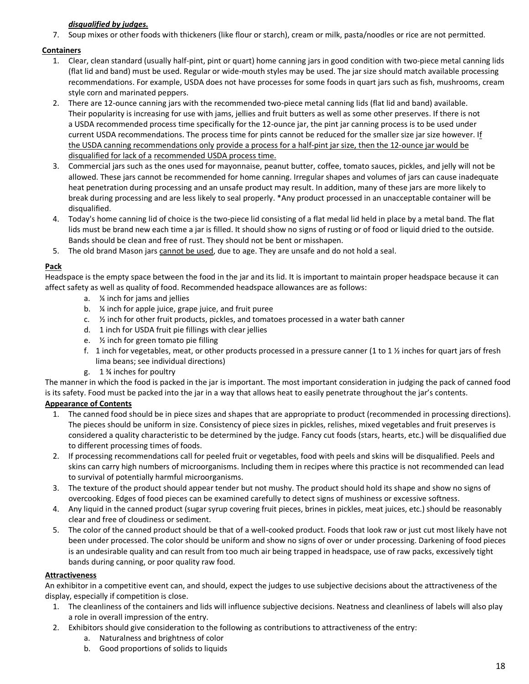# *disqualified by judges.*

7. Soup mixes or other foods with thickeners (like flour or starch), cream or milk, pasta/noodles or rice are not permitted.

# **Containers**

- 1. Clear, clean standard (usually half-pint, pint or quart) home canning jars in good condition with two-piece metal canning lids (flat lid and band) must be used. Regular or wide-mouth styles may be used. The jar size should match available processing recommendations. For example, USDA does not have processes for some foods in quart jars such as fish, mushrooms, cream style corn and marinated peppers.
- 2. There are 12-ounce canning jars with the recommended two-piece metal canning lids (flat lid and band) available. Their popularity is increasing for use with jams, jellies and fruit butters as well as some other preserves. If there is not a USDA recommended process time specifically for the 12-ounce jar, the pint jar canning process is to be used under current USDA recommendations. The process time for pints cannot be reduced for the smaller size jar size however. If the USDA canning recommendations only provide a process for a half-pint jar size, then the 12-ounce jar would be disqualified for lack of a recommended USDA process time.
- 3. Commercial jars such as the ones used for mayonnaise, peanut butter, coffee, tomato sauces, pickles, and jelly will not be allowed. These jars cannot be recommended for home canning. Irregular shapes and volumes of jars can cause inadequate heat penetration during processing and an unsafe product may result. In addition, many of these jars are more likely to break during processing and are less likely to seal properly. \*Any product processed in an unacceptable container will be disqualified.
- 4. Today's home canning lid of choice is the two-piece lid consisting of a flat medal lid held in place by a metal band. The flat lids must be brand new each time a jar is filled. It should show no signs of rusting or of food or liquid dried to the outside. Bands should be clean and free of rust. They should not be bent or misshapen.
- 5. The old brand Mason jars cannot be used, due to age. They are unsafe and do not hold a seal.

# **Pack**

Headspace is the empty space between the food in the jar and its lid. It is important to maintain proper headspace because it can affect safety as well as quality of food. Recommended headspace allowances are as follows:

- a. ¼ inch for jams and jellies
- b. ¼ inch for apple juice, grape juice, and fruit puree
- c.  $\frac{1}{2}$  inch for other fruit products, pickles, and tomatoes processed in a water bath canner
- d. 1 inch for USDA fruit pie fillings with clear jellies
- e. ½ inch for green tomato pie filling
- f. 1 inch for vegetables, meat, or other products processed in a pressure canner (1 to 1  $\frac{1}{2}$  inches for quart jars of fresh lima beans; see individual directions)
- g. 1 ¾ inches for poultry

The manner in which the food is packed in the jar is important. The most important consideration in judging the pack of canned food is its safety. Food must be packed into the jar in a way that allows heat to easily penetrate throughout the jar's contents.

# **Appearance of Contents**

- 1. The canned food should be in piece sizes and shapes that are appropriate to product (recommended in processing directions). The pieces should be uniform in size. Consistency of piece sizes in pickles, relishes, mixed vegetables and fruit preserves is considered a quality characteristic to be determined by the judge. Fancy cut foods (stars, hearts, etc.) will be disqualified due to different processing times of foods.
- 2. If processing recommendations call for peeled fruit or vegetables, food with peels and skins will be disqualified. Peels and skins can carry high numbers of microorganisms. Including them in recipes where this practice is not recommended can lead to survival of potentially harmful microorganisms.
- 3. The texture of the product should appear tender but not mushy. The product should hold its shape and show no signs of overcooking. Edges of food pieces can be examined carefully to detect signs of mushiness or excessive softness.
- 4. Any liquid in the canned product (sugar syrup covering fruit pieces, brines in pickles, meat juices, etc.) should be reasonably clear and free of cloudiness or sediment.
- 5. The color of the canned product should be that of a well-cooked product. Foods that look raw or just cut most likely have not been under processed. The color should be uniform and show no signs of over or under processing. Darkening of food pieces is an undesirable quality and can result from too much air being trapped in headspace, use of raw packs, excessively tight bands during canning, or poor quality raw food.

# **Attractiveness**

An exhibitor in a competitive event can, and should, expect the judges to use subjective decisions about the attractiveness of the display, especially if competition is close.

- 1. The cleanliness of the containers and lids will influence subjective decisions. Neatness and cleanliness of labels will also play a role in overall impression of the entry.
- 2. Exhibitors should give consideration to the following as contributions to attractiveness of the entry:
	- a. Naturalness and brightness of color
	- b. Good proportions of solids to liquids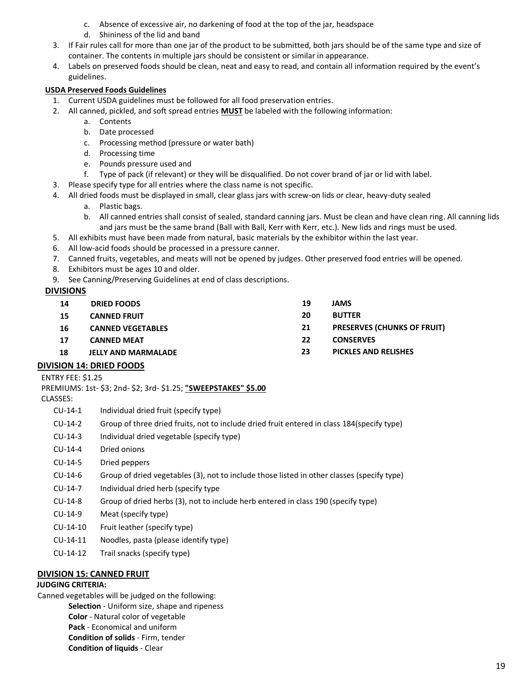- c. Absence of excessive air, no darkening of food at the top of the jar, headspace
- d. Shininess of the lid and band
- 3. If Fair rules call for more than one jar of the product to be submitted, both jars should be of the same type and size of container. The contents in multiple jars should be consistent or similar in appearance.
- 4. Labels on preserved foods should be clean, neat and easy to read, and contain all information required by the event's guidelines.

# **USDA Preserved Foods Guidelines**

- 1. Current USDA guidelines must be followed for all food preservation entries.
- 2. All canned, pickled, and soft spread entries **MUST** be labeled with the following information:
	- a. Contents
	- b. Date processed
	- c. Processing method (pressure or water bath)
	- d. Processing time
	- e. Pounds pressure used and
	- f. Type of pack (if relevant) or they will be disqualified. Do not cover brand of jar or lid with label.
- 3. Please specify type for all entries where the class name is not specific.
- 4. All dried foods must be displayed in small, clear glass jars with screw-on lids or clear, heavy-duty sealed
	- a. Plastic bags.
	- b. All canned entries shall consist of sealed, standard canning jars. Must be clean and have clean ring. All canning lids and jars must be the same brand (Ball with Ball, Kerr with Kerr, etc.). New lids and rings must be used.
- 5. All exhibits must have been made from natural, basic materials by the exhibitor within the last year.
- 6. All low-acid foods should be processed in a pressure canner.
- 7. Canned fruits, vegetables, and meats will not be opened by judges. Other preserved food entries will be opened.
- 8. Exhibitors must be ages 10 and older.
- 9. See Canning/Preserving Guidelines at end of class descriptions.

# **DIVISIONS**

| 14 | <b>DRIED FOODS</b>         | 19 | <b>JAMS</b>                        |
|----|----------------------------|----|------------------------------------|
| 15 | <b>CANNED FRUIT</b>        | 20 | <b>BUTTER</b>                      |
| 16 | <b>CANNED VEGETABLES</b>   | 21 | <b>PRESERVES (CHUNKS OF FRUIT)</b> |
| 17 | <b>CANNED MEAT</b>         | 22 | <b>CONSERVES</b>                   |
| 18 | <b>JELLY AND MARMALADE</b> | 23 | <b>PICKLES AND RELISHES</b>        |
|    |                            |    |                                    |

# **DIVISION 14: DRIED FOODS**

- ENTRY FEE: \$1.25 PREMIUMS: 1st- \$3; 2nd- \$2; 3rd- \$1.25; **"SWEEPSTAKES" \$5.00** CLASSES:
	- CU-14-1 Individual dried fruit (specify type)
	- CU-14-2 Group of three dried fruits, not to include dried fruit entered in class 184(specify type)
	- CU-14-3 Individual dried vegetable (specify type)
	- CU-14-4 Dried onions
	- CU-14-5 Dried peppers
	- CU-14-6 Group of dried vegetables (3), not to include those listed in other classes (specify type)
	- CU-14-7 Individual dried herb (specify type
	- CU-14-8 Group of dried herbs (3), not to include herb entered in class 190 (specify type)
	- CU-14-9 Meat (specify type)
	- CU-14-10 Fruit leather (specify type)
	- CU-14-11 Noodles, pasta (please identify type)
	- CU-14-12 Trail snacks (specify type)

# **DIVISION 15: CANNED FRUIT**

# **JUDGING CRITERIA:**

Canned vegetables will be judged on the following: **Selection** - Uniform size, shape and ripeness **Color** - Natural color of vegetable **Pack** - Economical and uniform **Condition of solids** - Firm, tender **Condition of liquids** - Clear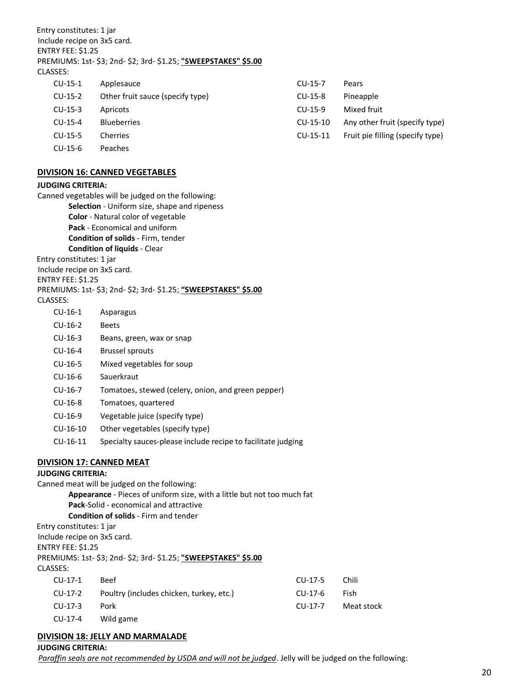Entry constitutes: 1 jar Include recipe on 3x5 card. ENTRY FEE: \$1.25 PREMIUMS: 1st- \$3; 2nd- \$2; 3rd- \$1.25; **"SWEEPSTAKES" \$5.00** CLASSES:

| $CU-15-1$  | Applesauce                       | $CU-15-7$ | Pears                            |
|------------|----------------------------------|-----------|----------------------------------|
| $CU-15-2$  | Other fruit sauce (specify type) | $CU-15-8$ | Pineapple                        |
| $CU-15-3$  | Apricots                         | $CU-15-9$ | Mixed fruit                      |
| $CU-15-4$  | <b>Blueberries</b>               | CU-15-10  | Any other fruit (specify type)   |
| $CU-15-5$  | Cherries                         | CU-15-11  | Fruit pie filling (specify type) |
| $CLJ-15-6$ | Peaches                          |           |                                  |

#### **DIVISION 16: CANNED VEGETABLES**

#### **JUDGING CRITERIA:**

Canned vegetables will be judged on the following: **Selection** - Uniform size, shape and ripeness **Color** - Natural color of vegetable **Pack** - Economical and uniform **Condition of solids** - Firm, tender **Condition of liquids** - Clear Entry constitutes: 1 jar Include recipe on 3x5 card. ENTRY FEE: \$1.25 PREMIUMS: 1st- \$3; 2nd- \$2; 3rd- \$1.25; **"SWEEPSTAKES" \$5.00** CLASSES: CU-16-1 Asparagus CU-16-2 Beets CU-16-3 Beans, green, wax or snap CU-16-4 Brussel sprouts CU-16-5 Mixed vegetables for soup CU-16-6 Sauerkraut CU-16-7 Tomatoes, stewed (celery, onion, and green pepper) CU-16-8 Tomatoes, quartered

- CU-16-9 Vegetable juice (specify type)
- CU-16-10 Other vegetables (specify type)
- CU-16-11 Specialty sauces-please include recipe to facilitate judging

#### **DIVISION 17: CANNED MEAT**

# **JUDGING CRITERIA:**

Canned meat will be judged on the following: **Appearance** - Pieces of uniform size, with a little but not too much fat **Pack**-Solid - economical and attractive **Condition of solids** - Firm and tender Entry constitutes: 1 jar Include recipe on 3x5 card. ENTRY FEE: \$1.25 PREMIUMS: 1st- \$3; 2nd- \$2; 3rd- \$1.25; **"SWEEPSTAKES" \$5.00** CLASSES: CU-17-1 Beef CU-17-2 Poultry (includes chicken, turkey, etc.) CU-17-3 Pork CU-17-4 Wild game CU-17-5 Chili CU-17-6 Fish CU-17-7 Meat stock

# **DIVISION 18: JELLY AND MARMALADE**

**JUDGING CRITERIA:**

*Paraffin seals are not recommended by USDA and will not be judged*. Jelly will be judged on the following: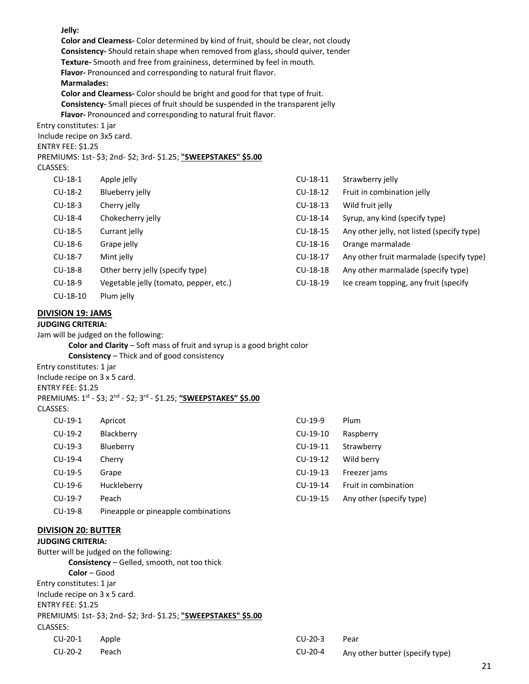**Jelly:**

**Color and Clearness-** Color determined by kind of fruit, should be clear, not cloudy **Consistency-** Should retain shape when removed from glass, should quiver, tender **Texture-** Smooth and free from graininess, determined by feel in mouth. **Flavor-** Pronounced and corresponding to natural fruit flavor. **Marmalades: Color and Clearness-** Color should be bright and good for that type of fruit. **Consistency-** Small pieces of fruit should be suspended in the transparent jelly

**Flavor-** Pronounced and corresponding to natural fruit flavor.

Entry constitutes: 1 jar

Include recipe on 3x5 card.

ENTRY FEE: \$1.25

PREMIUMS: 1st- \$3; 2nd- \$2; 3rd- \$1.25; **"SWEEPSTAKES" \$5.00**

### CLASSES:

| $CU-18-1$ | Apple jelly                            | CU-18-11 | Strawberry jelly                           |
|-----------|----------------------------------------|----------|--------------------------------------------|
| $CU-18-2$ | Blueberry jelly                        | CU-18-12 | Fruit in combination jelly                 |
| $CU-18-3$ | Cherry jelly                           | CU-18-13 | Wild fruit jelly                           |
| CU-18-4   | Chokecherry jelly                      | CU-18-14 | Syrup, any kind (specify type)             |
| $CU-18-5$ | Currant jelly                          | CU-18-15 | Any other jelly, not listed (specify type) |
| $CU-18-6$ | Grape jelly                            | CU-18-16 | Orange marmalade                           |
| CU-18-7   | Mint jelly                             | CU-18-17 | Any other fruit marmalade (specify type)   |
| CU-18-8   | Other berry jelly (specify type)       | CU-18-18 | Any other marmalade (specify type)         |
| CU-18-9   | Vegetable jelly (tomato, pepper, etc.) | CU-18-19 | Ice cream topping, any fruit (specify      |
| -------   |                                        |          |                                            |

CU-18-10 Plum jelly

# **DIVISION 19: JAMS**

#### **JUDGING CRITERIA:**

Jam will be judged on the following:

**Color and Clarity** – Soft mass of fruit and syrup is a good bright color **Consistency** – Thick and of good consistency

Entry constitutes: 1 jar

Include recipe on 3 x 5 card.

ENTRY FEE: \$1.25

|  |  |  |  | PREMIUMS: 1 <sup>st</sup> - \$3; 2 <sup>nd</sup> - \$2; 3 <sup>rd</sup> - \$1.25; <u>"SWEEPSTAKES" \$5.00</u> |  |
|--|--|--|--|---------------------------------------------------------------------------------------------------------------|--|
|--|--|--|--|---------------------------------------------------------------------------------------------------------------|--|

# CLASSES:

| $CU-19-1$ | Apricot                             | $CU-19-9$  | Plum                     |
|-----------|-------------------------------------|------------|--------------------------|
| $CU-19-2$ | Blackberry                          | $CU-19-10$ | Raspberry                |
| $CU-19-3$ | Blueberry                           | CU-19-11   | Strawberry               |
| $CU-19-4$ | Cherry                              | CU-19-12   | Wild berry               |
| $CU-19-5$ | Grape                               | CU-19-13   | Freezer jams             |
| $CU-19-6$ | Huckleberry                         | CU-19-14   | Fruit in combination     |
| CU-19-7   | Peach                               | CU-19-15   | Any other (specify type) |
| $CU-19-8$ | Pineapple or pineapple combinations |            |                          |

# **DIVISION 20: BUTTER**

# **JUDGING CRITERIA:**

Butter will be judged on the following: **Consistency** – Gelled, smooth, not too thick **Color** – Good Entry constitutes: 1 jar Include recipe on 3 x 5 card. ENTRY FEE: \$1.25 PREMIUMS: 1st- \$3; 2nd- \$2; 3rd- \$1.25; **"SWEEPSTAKES" \$5.00** CLASSES: CU-20-1 Apple CU-20-2 Peach

| $CU-20-3$ | Pear                            |
|-----------|---------------------------------|
| $CU-20-4$ | Any other butter (specify type) |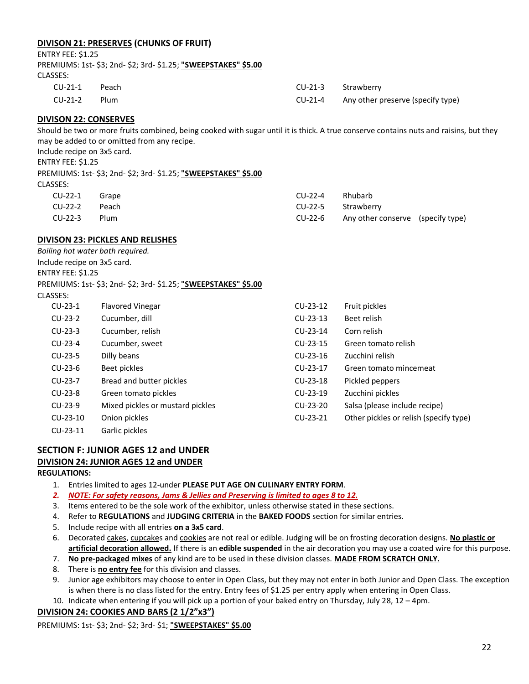# **DIVISON 21: PRESERVES (CHUNKS OF FRUIT)**

#### ENTRY FEE: \$1.25

PREMIUMS: 1st- \$3; 2nd- \$2; 3rd- \$1.25; **"SWEEPSTAKES" \$5.00** CLASSES: CU-21-1 Peach

| CU-21-3   | Strawberry                        |
|-----------|-----------------------------------|
| $CU-21-4$ | Any other preserve (specify type) |

### **DIVISON 22: CONSERVES**

CU-21-2 Plum

Should be two or more fruits combined, being cooked with sugar until it is thick. A true conserve contains nuts and raisins, but they may be added to or omitted from any recipe.

Include recipe on 3x5 card.

ENTRY FEE: \$1.25

PREMIUMS: 1st- \$3; 2nd- \$2; 3rd- \$1.25; **"SWEEPSTAKES" \$5.00**

| $CU-22-1$ Grape |       | CU-22-4 Rhubarb    |                                           |  |
|-----------------|-------|--------------------|-------------------------------------------|--|
| CU-22-2         | Peach | CU-22-5 Strawberry |                                           |  |
| CU-22-3         | Plum  |                    | CU-22-6 Any other conserve (specify type) |  |

# **DIVISON 23: PICKLES AND RELISHES**

*Boiling hot water bath required.* Include recipe on 3x5 card. ENTRY FEE: \$1.25 PREMIUMS: 1st- \$3; 2nd- \$2; 3rd- \$1.25; **"SWEEPSTAKES" \$5.00** CLASSES:

| $CU-23-1$  | <b>Flavored Vinegar</b>          | CU-23-12   | Fruit pickles                          |
|------------|----------------------------------|------------|----------------------------------------|
| $CU-23-2$  | Cucumber, dill                   | $CU-23-13$ | Beet relish                            |
| $CU-23-3$  | Cucumber, relish                 | CU-23-14   | Corn relish                            |
| $CU-23-4$  | Cucumber, sweet                  | CU-23-15   | Green tomato relish                    |
| $CU-23-5$  | Dilly beans                      | $CU-23-16$ | Zucchini relish                        |
| $CU-23-6$  | Beet pickles                     | CU-23-17   | Green tomato mincemeat                 |
| CU-23-7    | Bread and butter pickles         | $CU-23-18$ | Pickled peppers                        |
| $CU-23-8$  | Green tomato pickles             | $CU-23-19$ | Zucchini pickles                       |
| $CU-23-9$  | Mixed pickles or mustard pickles | CU-23-20   | Salsa (please include recipe)          |
| $CU-23-10$ | Onion pickles                    | $CU-23-21$ | Other pickles or relish (specify type) |
| $CU-23-11$ | Garlic pickles                   |            |                                        |

# **SECTION F: JUNIOR AGES 12 and UNDER DIVISION 24: JUNIOR AGES 12 and UNDER**

#### **REGULATIONS:**

- 1. Entries limited to ages 12-under **PLEASE PUT AGE ON CULINARY ENTRY FORM**.
- *2. NOTE: For safety reasons, Jams & Jellies and Preserving is limited to ages 8 to 12.*
- 3. Items entered to be the sole work of the exhibitor, unless otherwise stated in these sections.
- 4. Refer to **REGULATIONS** and **JUDGING CRITERIA** in the **BAKED FOODS** section for similar entries.
- 5. Include recipe with all entries **on a 3x5 card**.
- 6. Decorated cakes, cupcakes and cookies are not real or edible. Judging will be on frosting decoration designs. **No plastic or artificial decoration allowed.** If there is an **edible suspended** in the air decoration you may use a coated wire for this purpose.
- 7. **No pre-packaged mixes** of any kind are to be used in these division classes. **MADE FROM SCRATCH ONLY.**
- 8. There is **no entry fee** for this division and classes.
- 9. Junior age exhibitors may choose to enter in Open Class, but they may not enter in both Junior and Open Class. The exception is when there is no class listed for the entry. Entry fees of \$1.25 per entry apply when entering in Open Class.

10. Indicate when entering if you will pick up a portion of your baked entry on Thursday, July 28, 12 – 4pm.

# **DIVISION 24: COOKIES AND BARS (2 1/2"x3")**

PREMIUMS: 1st- \$3; 2nd- \$2; 3rd- \$1; **"SWEEPSTAKES" \$5.00**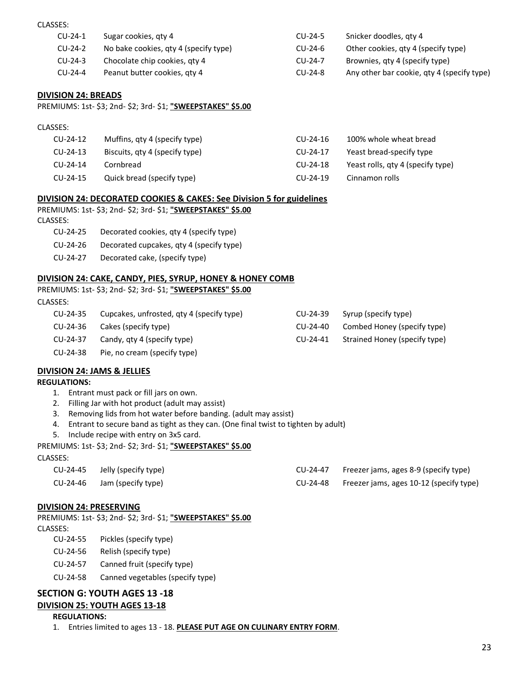#### CLASSES:

CLASSES:

| $CU-24-1$ | Sugar cookies, gty 4                  | CU-24-5   | Snicker doodles, aty 4                     |
|-----------|---------------------------------------|-----------|--------------------------------------------|
| $CU-24-2$ | No bake cookies, qty 4 (specify type) | CU-24-6   | Other cookies, qty 4 (specify type)        |
| $CU-24-3$ | Chocolate chip cookies, gty 4         | $CU-24-7$ | Brownies, gty 4 (specify type)             |
| $CU-24-4$ | Peanut butter cookies, gty 4          | CU-24-8   | Any other bar cookie, gty 4 (specify type) |

### **DIVISION 24: BREADS**

PREMIUMS: 1st- \$3; 2nd- \$2; 3rd- \$1; **"SWEEPSTAKES" \$5.00**

| $CU-24-12$  | Muffins, qty 4 (specify type)  | $CU-24-16$  | 100% whole wheat bread            |
|-------------|--------------------------------|-------------|-----------------------------------|
| $CU-24-13$  | Biscuits, qty 4 (specify type) | CU-24-17    | Yeast bread-specify type          |
| $CLJ-24-14$ | Cornbread                      | CU-24-18    | Yeast rolls, qty 4 (specify type) |
| $CU-24-15$  | Quick bread (specify type)     | $CLJ-24-19$ | Cinnamon rolls                    |
|             |                                |             |                                   |

### **DIVISION 24: DECORATED COOKIES & CAKES: See Division 5 for guidelines**

PREMIUMS: 1st- \$3; 2nd- \$2; 3rd- \$1; **"SWEEPSTAKES" \$5.00** CLASSES:

- CU-24-25 Decorated cookies, qty 4 (specify type)
- CU-24-26 Decorated cupcakes, qty 4 (specify type)
- CU-24-27 Decorated cake, (specify type)

#### **DIVISION 24: CAKE, CANDY, PIES, SYRUP, HONEY & HONEY COMB**

PREMIUMS: 1st- \$3; 2nd- \$2; 3rd- \$1; **"SWEEPSTAKES" \$5.00** CLASSES:

| CU-24-35 | Cupcakes, unfrosted, gty 4 (specify type) | CU-24-39 | Syrup (specify type)          |
|----------|-------------------------------------------|----------|-------------------------------|
| CU-24-36 | Cakes (specify type)                      | CU-24-40 | Combed Honey (specify type)   |
| CU-24-37 | Candy, qty 4 (specify type)               | CU-24-41 | Strained Honey (specify type) |
| CU-24-38 | Pie, no cream (specify type)              |          |                               |

#### **DIVISION 24: JAMS & JELLIES**

#### **REGULATIONS:**

- 1. Entrant must pack or fill jars on own.
- 2. Filling Jar with hot product (adult may assist)
- 3. Removing lids from hot water before banding. (adult may assist)
- 4. Entrant to secure band as tight as they can. (One final twist to tighten by adult)
- 5. Include recipe with entry on 3x5 card.

PREMIUMS: 1st- \$3; 2nd- \$2; 3rd- \$1; **"SWEEPSTAKES" \$5.00**

CLASSES:

| CU-24-45 | Jelly (specify type)          | CU-24-47 | Freezer jams, ages 8-9 (specify type)   |
|----------|-------------------------------|----------|-----------------------------------------|
|          | $CU-24-46$ Jam (specify type) | CU-24-48 | Freezer jams, ages 10-12 (specify type) |

#### **DIVISION 24: PRESERVING**

PREMIUMS: 1st- \$3; 2nd- \$2; 3rd- \$1; **"SWEEPSTAKES" \$5.00** CLASSES:

- CU-24-55 Pickles (specify type)
- CU-24-56 Relish (specify type)
- CU-24-57 Canned fruit (specify type)
- CU-24-58 Canned vegetables (specify type)

# **SECTION G: YOUTH AGES 13 -18 DIVISION 25: YOUTH AGES 13-18**

#### **REGULATIONS:**

1. Entries limited to ages 13 - 18. **PLEASE PUT AGE ON CULINARY ENTRY FORM**.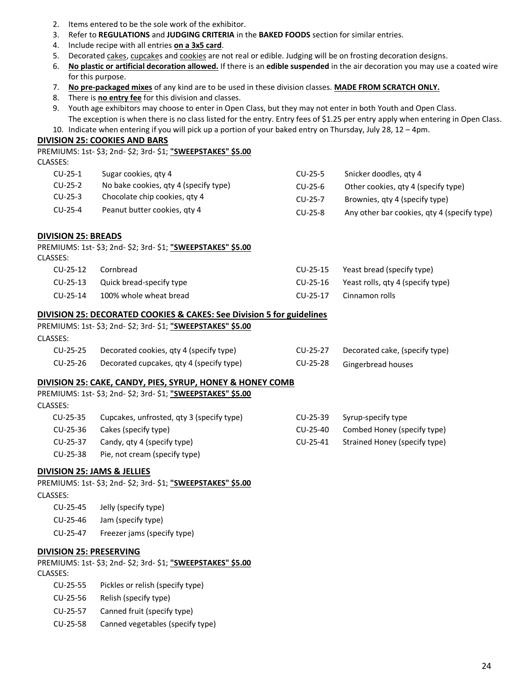- 2. Items entered to be the sole work of the exhibitor.
- 3. Refer to **REGULATIONS** and **JUDGING CRITERIA** in the **BAKED FOODS** section for similar entries.
- 4. Include recipe with all entries **on a 3x5 card**.
- 5. Decorated cakes, cupcakes and cookies are not real or edible. Judging will be on frosting decoration designs.
- 6. **No plastic or artificial decoration allowed.** If there is an **edible suspended** in the air decoration you may use a coated wire for this purpose.
- 7. **No pre-packaged mixes** of any kind are to be used in these division classes. **MADE FROM SCRATCH ONLY.**
- 8. There is **no entry fee** for this division and classes.
- 9. Youth age exhibitors may choose to enter in Open Class, but they may not enter in both Youth and Open Class.
- The exception is when there is no class listed for the entry. Entry fees of \$1.25 per entry apply when entering in Open Class. 10. Indicate when entering if you will pick up a portion of your baked entry on Thursday, July 28, 12 – 4pm.

### **DIVISION 25: COOKIES AND BARS**

|           | PREMIUMS: 1st- \$3; 2nd- \$2; 3rd- \$1; "SWEEPSTAKES" \$5.00 |           |                                             |
|-----------|--------------------------------------------------------------|-----------|---------------------------------------------|
| CLASSES:  |                                                              |           |                                             |
| $CU-25-1$ | Sugar cookies, gty 4                                         | $CU-25-5$ | Snicker doodles, aty 4                      |
| $CU-25-2$ | No bake cookies, qty 4 (specify type)                        | $CU-25-6$ | Other cookies, qty 4 (specify type)         |
| $CU-25-3$ | Chocolate chip cookies, gty 4                                | $CU-25-7$ | Brownies, qty 4 (specify type)              |
| $CU-25-4$ | Peanut butter cookies, gty 4                                 | $CU-25-8$ | Any other bar cookies, gty 4 (specify type) |
|           |                                                              |           |                                             |
|           |                                                              |           |                                             |

# **DIVISION 25: BREADS**

| PREMIUMS: 1st- \$3; 2nd- \$2; 3rd- \$1; "SWEEPSTAKES" \$5.00 |  |
|--------------------------------------------------------------|--|
| CLASSES:                                                     |  |

|          | CU-25-12 Cornbread                | CU-25-15 Yeast bread (specify type)        |
|----------|-----------------------------------|--------------------------------------------|
|          | CU-25-13 Quick bread-specify type | CU-25-16 Yeast rolls, gty 4 (specify type) |
| CU-25-14 | 100% whole wheat bread            | CU-25-17 Cinnamon rolls                    |

# **DIVISION 25: DECORATED COOKIES & CAKES: See Division 5 for guidelines**

PREMIUMS: 1st- \$3; 2nd- \$2; 3rd- \$1; **"SWEEPSTAKES" \$5.00** CLASSES:

| CU-25-25 | Decorated cookies, qty 4 (specify type)  | CU-25-27 | Decorated cake, (specify type) |
|----------|------------------------------------------|----------|--------------------------------|
| CU-25-26 | Decorated cupcakes, qty 4 (specify type) | CU-25-28 | Gingerbread houses             |

# **DIVISION 25: CAKE, CANDY, PIES, SYRUP, HONEY & HONEY COMB**

PREMIUMS: 1st- \$3; 2nd- \$2; 3rd- \$1; **"SWEEPSTAKES" \$5.00**

| CLASSES: |                                           |          |                               |
|----------|-------------------------------------------|----------|-------------------------------|
| CU-25-35 | Cupcakes, unfrosted, qty 3 (specify type) | CU-25-39 | Syrup-specify type            |
| CU-25-36 | Cakes (specify type)                      | CU-25-40 | Combed Honey (specify type)   |
| CU-25-37 | Candy, qty 4 (specify type)               | CU-25-41 | Strained Honey (specify type) |
| CU-25-38 | Pie, not cream (specify type)             |          |                               |

#### **DIVISION 25: JAMS & JELLIES**

PREMIUMS: 1st- \$3; 2nd- \$2; 3rd- \$1; **"SWEEPSTAKES" \$5.00**

| c<br>×<br>× |
|-------------|
|-------------|

CU-25-45 Jelly (specify type)

- CU-25-46 Jam (specify type)
- CU-25-47 Freezer jams (specify type)

# **DIVISION 25: PRESERVING**

PREMIUMS: 1st- \$3; 2nd- \$2; 3rd- \$1; **"SWEEPSTAKES" \$5.00** CLASSES:

- CU-25-55 Pickles or relish (specify type)
- CU-25-56 Relish (specify type)
- CU-25-57 Canned fruit (specify type)
- CU-25-58 Canned vegetables (specify type)